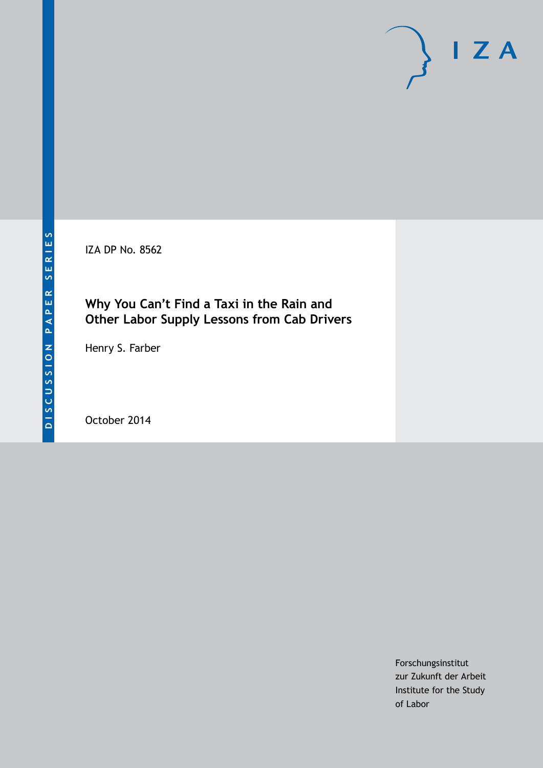IZA DP No. 8562

## **Why You Can't Find a Taxi in the Rain and Other Labor Supply Lessons from Cab Drivers**

Henry S. Farber

October 2014

Forschungsinstitut zur Zukunft der Arbeit Institute for the Study of Labor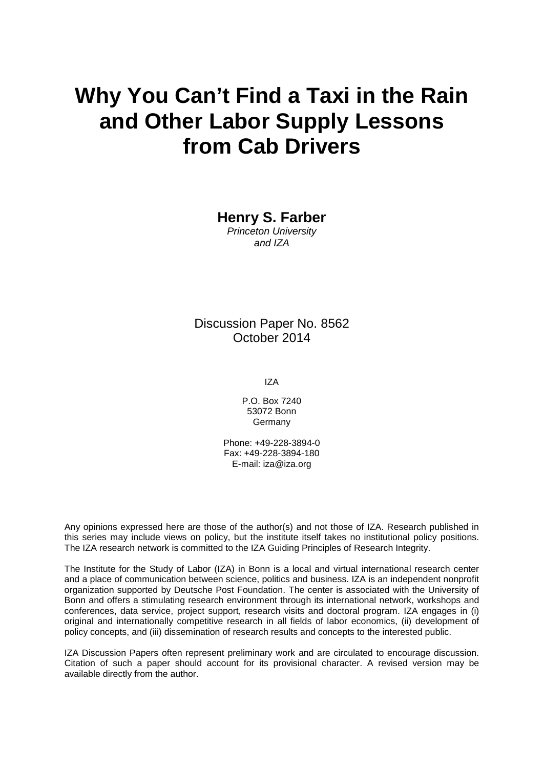# **Why You Can't Find a Taxi in the Rain and Other Labor Supply Lessons from Cab Drivers**

**Henry S. Farber**

*Princeton University and IZA*

Discussion Paper No. 8562 October 2014

IZA

P.O. Box 7240 53072 Bonn Germany

Phone: +49-228-3894-0 Fax: +49-228-3894-180 E-mail: [iza@iza.org](mailto:iza@iza.org)

Any opinions expressed here are those of the author(s) and not those of IZA. Research published in this series may include views on policy, but the institute itself takes no institutional policy positions. The IZA research network is committed to the IZA Guiding Principles of Research Integrity.

The Institute for the Study of Labor (IZA) in Bonn is a local and virtual international research center and a place of communication between science, politics and business. IZA is an independent nonprofit organization supported by Deutsche Post Foundation. The center is associated with the University of Bonn and offers a stimulating research environment through its international network, workshops and conferences, data service, project support, research visits and doctoral program. IZA engages in (i) original and internationally competitive research in all fields of labor economics, (ii) development of policy concepts, and (iii) dissemination of research results and concepts to the interested public.

<span id="page-1-0"></span>IZA Discussion Papers often represent preliminary work and are circulated to encourage discussion. Citation of such a paper should account for its provisional character. A revised version may be available directly from the author.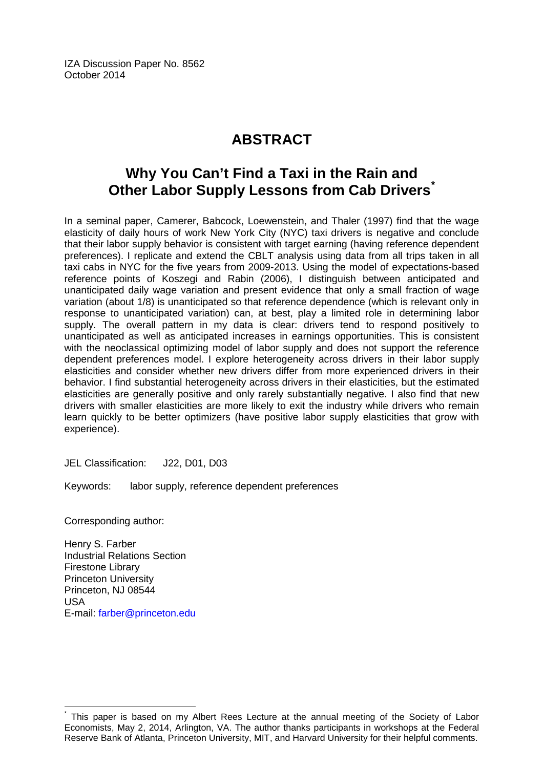IZA Discussion Paper No. 8562 October 2014

## **ABSTRACT**

## **Why You Can't Find a Taxi in the Rain and Other Labor Supply Lessons from Cab Drivers[\\*](#page-1-0)**

In a seminal paper, Camerer, Babcock, Loewenstein, and Thaler (1997) find that the wage elasticity of daily hours of work New York City (NYC) taxi drivers is negative and conclude that their labor supply behavior is consistent with target earning (having reference dependent preferences). I replicate and extend the CBLT analysis using data from all trips taken in all taxi cabs in NYC for the five years from 2009-2013. Using the model of expectations-based reference points of Koszegi and Rabin (2006), I distinguish between anticipated and unanticipated daily wage variation and present evidence that only a small fraction of wage variation (about 1/8) is unanticipated so that reference dependence (which is relevant only in response to unanticipated variation) can, at best, play a limited role in determining labor supply. The overall pattern in my data is clear: drivers tend to respond positively to unanticipated as well as anticipated increases in earnings opportunities. This is consistent with the neoclassical optimizing model of labor supply and does not support the reference dependent preferences model. I explore heterogeneity across drivers in their labor supply elasticities and consider whether new drivers differ from more experienced drivers in their behavior. I find substantial heterogeneity across drivers in their elasticities, but the estimated elasticities are generally positive and only rarely substantially negative. I also find that new drivers with smaller elasticities are more likely to exit the industry while drivers who remain learn quickly to be better optimizers (have positive labor supply elasticities that grow with experience).

JEL Classification: J22, D01, D03

Keywords: labor supply, reference dependent preferences

Corresponding author:

Henry S. Farber Industrial Relations Section Firestone Library Princeton University Princeton, NJ 08544 USA E-mail: [farber@princeton.edu](mailto:farber@princeton.edu)

This paper is based on my Albert Rees Lecture at the annual meeting of the Society of Labor Economists, May 2, 2014, Arlington, VA. The author thanks participants in workshops at the Federal Reserve Bank of Atlanta, Princeton University, MIT, and Harvard University for their helpful comments.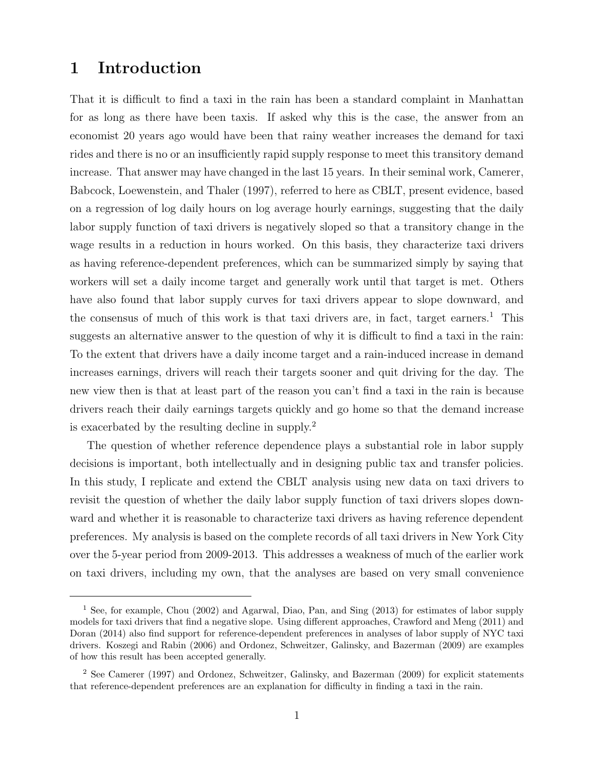## 1 Introduction

That it is difficult to find a taxi in the rain has been a standard complaint in Manhattan for as long as there have been taxis. If asked why this is the case, the answer from an economist 20 years ago would have been that rainy weather increases the demand for taxi rides and there is no or an insufficiently rapid supply response to meet this transitory demand increase. That answer may have changed in the last 15 years. In their seminal work, Camerer, Babcock, Loewenstein, and Thaler (1997), referred to here as CBLT, present evidence, based on a regression of log daily hours on log average hourly earnings, suggesting that the daily labor supply function of taxi drivers is negatively sloped so that a transitory change in the wage results in a reduction in hours worked. On this basis, they characterize taxi drivers as having reference-dependent preferences, which can be summarized simply by saying that workers will set a daily income target and generally work until that target is met. Others have also found that labor supply curves for taxi drivers appear to slope downward, and the consensus of much of this work is that taxi drivers are, in fact, target earners.<sup>1</sup> This suggests an alternative answer to the question of why it is difficult to find a taxi in the rain: To the extent that drivers have a daily income target and a rain-induced increase in demand increases earnings, drivers will reach their targets sooner and quit driving for the day. The new view then is that at least part of the reason you can't find a taxi in the rain is because drivers reach their daily earnings targets quickly and go home so that the demand increase is exacerbated by the resulting decline in supply.<sup>2</sup>

The question of whether reference dependence plays a substantial role in labor supply decisions is important, both intellectually and in designing public tax and transfer policies. In this study, I replicate and extend the CBLT analysis using new data on taxi drivers to revisit the question of whether the daily labor supply function of taxi drivers slopes downward and whether it is reasonable to characterize taxi drivers as having reference dependent preferences. My analysis is based on the complete records of all taxi drivers in New York City over the 5-year period from 2009-2013. This addresses a weakness of much of the earlier work on taxi drivers, including my own, that the analyses are based on very small convenience

<sup>1</sup> See, for example, Chou (2002) and Agarwal, Diao, Pan, and Sing (2013) for estimates of labor supply models for taxi drivers that find a negative slope. Using different approaches, Crawford and Meng (2011) and Doran (2014) also find support for reference-dependent preferences in analyses of labor supply of NYC taxi drivers. Koszegi and Rabin (2006) and Ordonez, Schweitzer, Galinsky, and Bazerman (2009) are examples of how this result has been accepted generally.

<sup>2</sup> See Camerer (1997) and Ordonez, Schweitzer, Galinsky, and Bazerman (2009) for explicit statements that reference-dependent preferences are an explanation for difficulty in finding a taxi in the rain.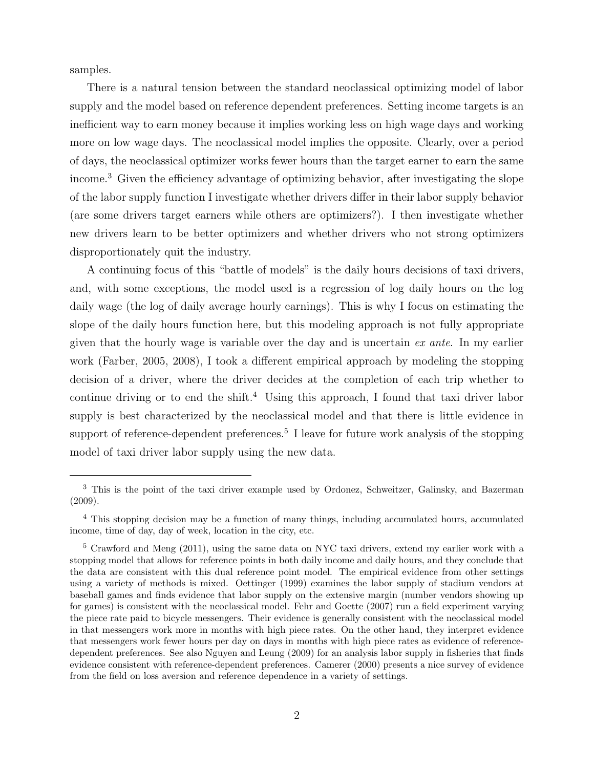samples.

There is a natural tension between the standard neoclassical optimizing model of labor supply and the model based on reference dependent preferences. Setting income targets is an inefficient way to earn money because it implies working less on high wage days and working more on low wage days. The neoclassical model implies the opposite. Clearly, over a period of days, the neoclassical optimizer works fewer hours than the target earner to earn the same income.<sup>3</sup> Given the efficiency advantage of optimizing behavior, after investigating the slope of the labor supply function I investigate whether drivers differ in their labor supply behavior (are some drivers target earners while others are optimizers?). I then investigate whether new drivers learn to be better optimizers and whether drivers who not strong optimizers disproportionately quit the industry.

A continuing focus of this "battle of models" is the daily hours decisions of taxi drivers, and, with some exceptions, the model used is a regression of log daily hours on the log daily wage (the log of daily average hourly earnings). This is why I focus on estimating the slope of the daily hours function here, but this modeling approach is not fully appropriate given that the hourly wage is variable over the day and is uncertain  $ex$  ante. In my earlier work (Farber, 2005, 2008), I took a different empirical approach by modeling the stopping decision of a driver, where the driver decides at the completion of each trip whether to continue driving or to end the shift.<sup>4</sup> Using this approach, I found that taxi driver labor supply is best characterized by the neoclassical model and that there is little evidence in support of reference-dependent preferences.<sup>5</sup> I leave for future work analysis of the stopping model of taxi driver labor supply using the new data.

<sup>&</sup>lt;sup>3</sup> This is the point of the taxi driver example used by Ordonez, Schweitzer, Galinsky, and Bazerman (2009).

<sup>4</sup> This stopping decision may be a function of many things, including accumulated hours, accumulated income, time of day, day of week, location in the city, etc.

<sup>&</sup>lt;sup>5</sup> Crawford and Meng (2011), using the same data on NYC taxi drivers, extend my earlier work with a stopping model that allows for reference points in both daily income and daily hours, and they conclude that the data are consistent with this dual reference point model. The empirical evidence from other settings using a variety of methods is mixed. Oettinger (1999) examines the labor supply of stadium vendors at baseball games and finds evidence that labor supply on the extensive margin (number vendors showing up for games) is consistent with the neoclassical model. Fehr and Goette (2007) run a field experiment varying the piece rate paid to bicycle messengers. Their evidence is generally consistent with the neoclassical model in that messengers work more in months with high piece rates. On the other hand, they interpret evidence that messengers work fewer hours per day on days in months with high piece rates as evidence of referencedependent preferences. See also Nguyen and Leung (2009) for an analysis labor supply in fisheries that finds evidence consistent with reference-dependent preferences. Camerer (2000) presents a nice survey of evidence from the field on loss aversion and reference dependence in a variety of settings.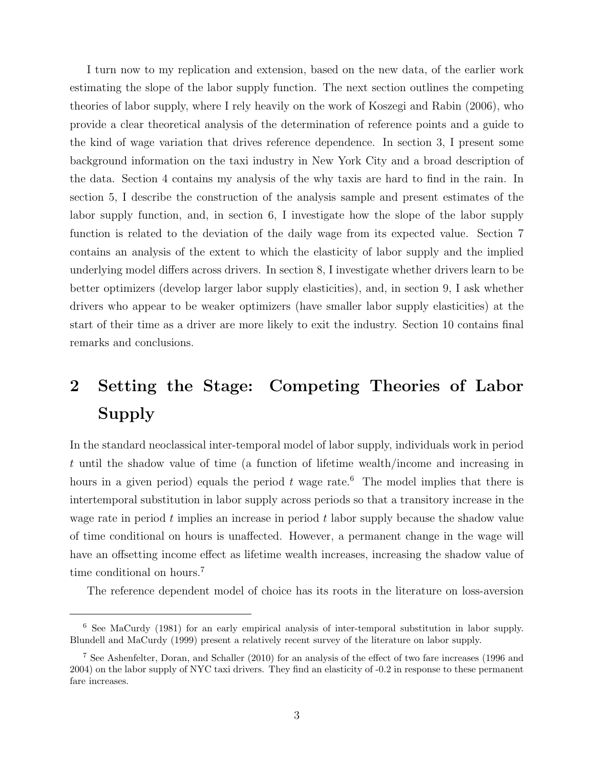I turn now to my replication and extension, based on the new data, of the earlier work estimating the slope of the labor supply function. The next section outlines the competing theories of labor supply, where I rely heavily on the work of Koszegi and Rabin (2006), who provide a clear theoretical analysis of the determination of reference points and a guide to the kind of wage variation that drives reference dependence. In section 3, I present some background information on the taxi industry in New York City and a broad description of the data. Section 4 contains my analysis of the why taxis are hard to find in the rain. In section 5, I describe the construction of the analysis sample and present estimates of the labor supply function, and, in section 6, I investigate how the slope of the labor supply function is related to the deviation of the daily wage from its expected value. Section 7 contains an analysis of the extent to which the elasticity of labor supply and the implied underlying model differs across drivers. In section 8, I investigate whether drivers learn to be better optimizers (develop larger labor supply elasticities), and, in section 9, I ask whether drivers who appear to be weaker optimizers (have smaller labor supply elasticities) at the start of their time as a driver are more likely to exit the industry. Section 10 contains final remarks and conclusions.

## 2 Setting the Stage: Competing Theories of Labor Supply

In the standard neoclassical inter-temporal model of labor supply, individuals work in period t until the shadow value of time (a function of lifetime wealth/income and increasing in hours in a given period) equals the period t wage rate.<sup>6</sup> The model implies that there is intertemporal substitution in labor supply across periods so that a transitory increase in the wage rate in period  $t$  implies an increase in period  $t$  labor supply because the shadow value of time conditional on hours is unaffected. However, a permanent change in the wage will have an offsetting income effect as lifetime wealth increases, increasing the shadow value of time conditional on hours.<sup>7</sup>

The reference dependent model of choice has its roots in the literature on loss-aversion

<sup>6</sup> See MaCurdy (1981) for an early empirical analysis of inter-temporal substitution in labor supply. Blundell and MaCurdy (1999) present a relatively recent survey of the literature on labor supply.

<sup>7</sup> See Ashenfelter, Doran, and Schaller (2010) for an analysis of the effect of two fare increases (1996 and 2004) on the labor supply of NYC taxi drivers. They find an elasticity of -0.2 in response to these permanent fare increases.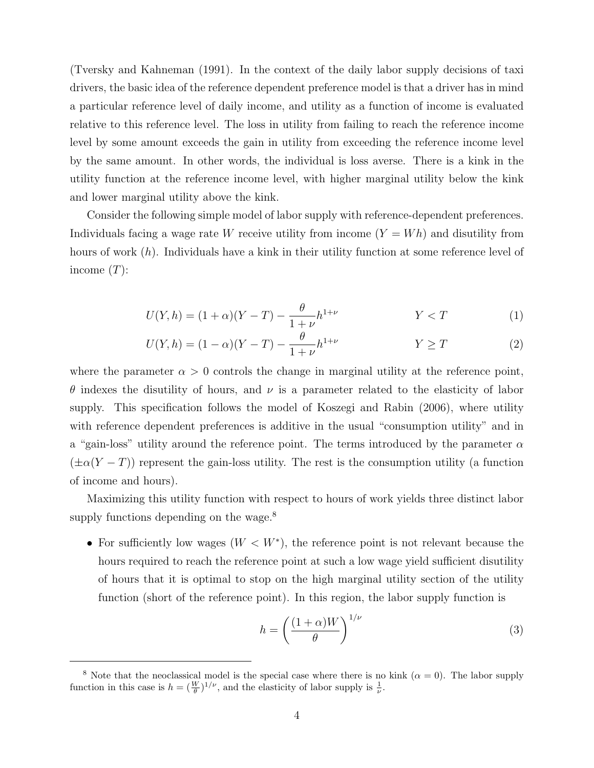(Tversky and Kahneman (1991). In the context of the daily labor supply decisions of taxi drivers, the basic idea of the reference dependent preference model is that a driver has in mind a particular reference level of daily income, and utility as a function of income is evaluated relative to this reference level. The loss in utility from failing to reach the reference income level by some amount exceeds the gain in utility from exceeding the reference income level by the same amount. In other words, the individual is loss averse. There is a kink in the utility function at the reference income level, with higher marginal utility below the kink and lower marginal utility above the kink.

Consider the following simple model of labor supply with reference-dependent preferences. Individuals facing a wage rate W receive utility from income  $(Y = Wh)$  and disutility from hours of work (h). Individuals have a kink in their utility function at some reference level of income  $(T)$ :

$$
U(Y, h) = (1 + \alpha)(Y - T) - \frac{\theta}{1 + \nu}h^{1 + \nu} \qquad Y < T \tag{1}
$$

$$
U(Y, h) = (1 - \alpha)(Y - T) - \frac{\theta}{1 + \nu}h^{1 + \nu} \qquad Y \ge T \qquad (2)
$$

where the parameter  $\alpha > 0$  controls the change in marginal utility at the reference point, θ indexes the disutility of hours, and ν is a parameter related to the elasticity of labor supply. This specification follows the model of Koszegi and Rabin (2006), where utility with reference dependent preferences is additive in the usual "consumption utility" and in a "gain-loss" utility around the reference point. The terms introduced by the parameter  $\alpha$  $(\pm \alpha(Y-T))$  represent the gain-loss utility. The rest is the consumption utility (a function of income and hours).

Maximizing this utility function with respect to hours of work yields three distinct labor supply functions depending on the wage.<sup>8</sup>

• For sufficiently low wages  $(W \langle W^* \rangle)$ , the reference point is not relevant because the hours required to reach the reference point at such a low wage yield sufficient disutility of hours that it is optimal to stop on the high marginal utility section of the utility function (short of the reference point). In this region, the labor supply function is

$$
h = \left(\frac{(1+\alpha)W}{\theta}\right)^{1/\nu} \tag{3}
$$

<sup>&</sup>lt;sup>8</sup> Note that the neoclassical model is the special case where there is no kink  $(\alpha = 0)$ . The labor supply function in this case is  $h = (\frac{W}{\theta})^{1/\nu}$ , and the elasticity of labor supply is  $\frac{1}{\nu}$ .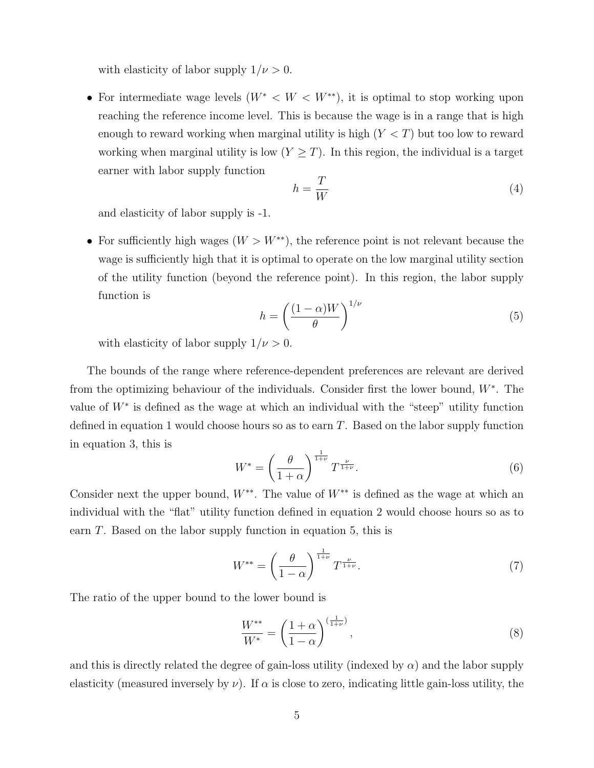with elasticity of labor supply  $1/\nu > 0$ .

• For intermediate wage levels  $(W^* < W < W^{**})$ , it is optimal to stop working upon reaching the reference income level. This is because the wage is in a range that is high enough to reward working when marginal utility is high  $(Y < T)$  but too low to reward working when marginal utility is low  $(Y \geq T)$ . In this region, the individual is a target earner with labor supply function

$$
h = \frac{T}{W} \tag{4}
$$

and elasticity of labor supply is -1.

• For sufficiently high wages  $(W > W^{**})$ , the reference point is not relevant because the wage is sufficiently high that it is optimal to operate on the low marginal utility section of the utility function (beyond the reference point). In this region, the labor supply function is

$$
h = \left(\frac{(1-\alpha)W}{\theta}\right)^{1/\nu} \tag{5}
$$

with elasticity of labor supply  $1/\nu > 0$ .

The bounds of the range where reference-dependent preferences are relevant are derived from the optimizing behaviour of the individuals. Consider first the lower bound, W<sup>∗</sup> . The value of  $W^*$  is defined as the wage at which an individual with the "steep" utility function defined in equation 1 would choose hours so as to earn T. Based on the labor supply function in equation 3, this is

$$
W^* = \left(\frac{\theta}{1+\alpha}\right)^{\frac{1}{1+\nu}} T^{\frac{\nu}{1+\nu}}.
$$
\n
$$
(6)
$$

Consider next the upper bound,  $W^{**}$ . The value of  $W^{**}$  is defined as the wage at which an individual with the "flat" utility function defined in equation 2 would choose hours so as to earn T. Based on the labor supply function in equation 5, this is

$$
W^{**} = \left(\frac{\theta}{1-\alpha}\right)^{\frac{1}{1+\nu}} T^{\frac{\nu}{1+\nu}}.
$$
\n
$$
(7)
$$

The ratio of the upper bound to the lower bound is

$$
\frac{W^{**}}{W^*} = \left(\frac{1+\alpha}{1-\alpha}\right)^{\left(\frac{1}{1+\nu}\right)},\tag{8}
$$

and this is directly related the degree of gain-loss utility (indexed by  $\alpha$ ) and the labor supply elasticity (measured inversely by  $\nu$ ). If  $\alpha$  is close to zero, indicating little gain-loss utility, the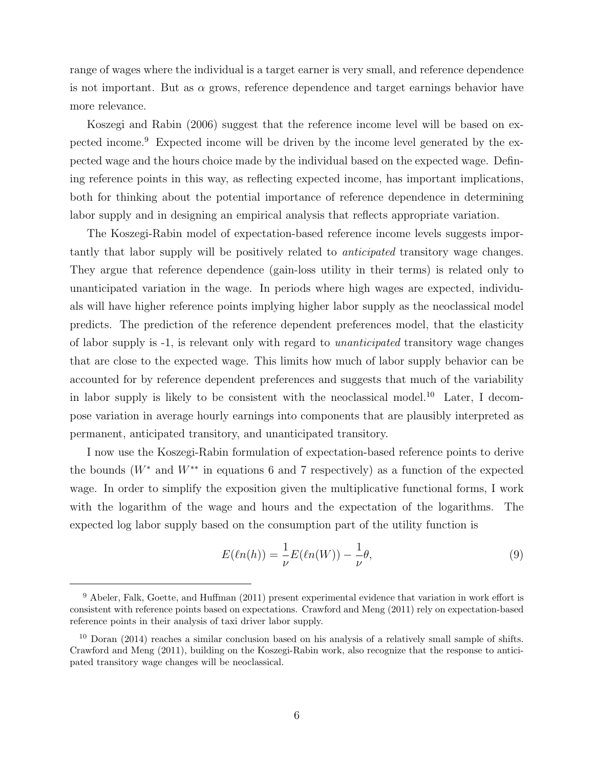range of wages where the individual is a target earner is very small, and reference dependence is not important. But as  $\alpha$  grows, reference dependence and target earnings behavior have more relevance.

Koszegi and Rabin (2006) suggest that the reference income level will be based on expected income.<sup>9</sup> Expected income will be driven by the income level generated by the expected wage and the hours choice made by the individual based on the expected wage. Defining reference points in this way, as reflecting expected income, has important implications, both for thinking about the potential importance of reference dependence in determining labor supply and in designing an empirical analysis that reflects appropriate variation.

The Koszegi-Rabin model of expectation-based reference income levels suggests importantly that labor supply will be positively related to anticipated transitory wage changes. They argue that reference dependence (gain-loss utility in their terms) is related only to unanticipated variation in the wage. In periods where high wages are expected, individuals will have higher reference points implying higher labor supply as the neoclassical model predicts. The prediction of the reference dependent preferences model, that the elasticity of labor supply is -1, is relevant only with regard to unanticipated transitory wage changes that are close to the expected wage. This limits how much of labor supply behavior can be accounted for by reference dependent preferences and suggests that much of the variability in labor supply is likely to be consistent with the neoclassical model.<sup>10</sup> Later, I decompose variation in average hourly earnings into components that are plausibly interpreted as permanent, anticipated transitory, and unanticipated transitory.

I now use the Koszegi-Rabin formulation of expectation-based reference points to derive the bounds  $(W^*)$  and  $W^{**}$  in equations 6 and 7 respectively) as a function of the expected wage. In order to simplify the exposition given the multiplicative functional forms, I work with the logarithm of the wage and hours and the expectation of the logarithms. The expected log labor supply based on the consumption part of the utility function is

$$
E(\ell n(h)) = \frac{1}{\nu} E(\ell n(W)) - \frac{1}{\nu}\theta,\tag{9}
$$

<sup>&</sup>lt;sup>9</sup> Abeler, Falk, Goette, and Huffman (2011) present experimental evidence that variation in work effort is consistent with reference points based on expectations. Crawford and Meng (2011) rely on expectation-based reference points in their analysis of taxi driver labor supply.

<sup>10</sup> Doran (2014) reaches a similar conclusion based on his analysis of a relatively small sample of shifts. Crawford and Meng (2011), building on the Koszegi-Rabin work, also recognize that the response to anticipated transitory wage changes will be neoclassical.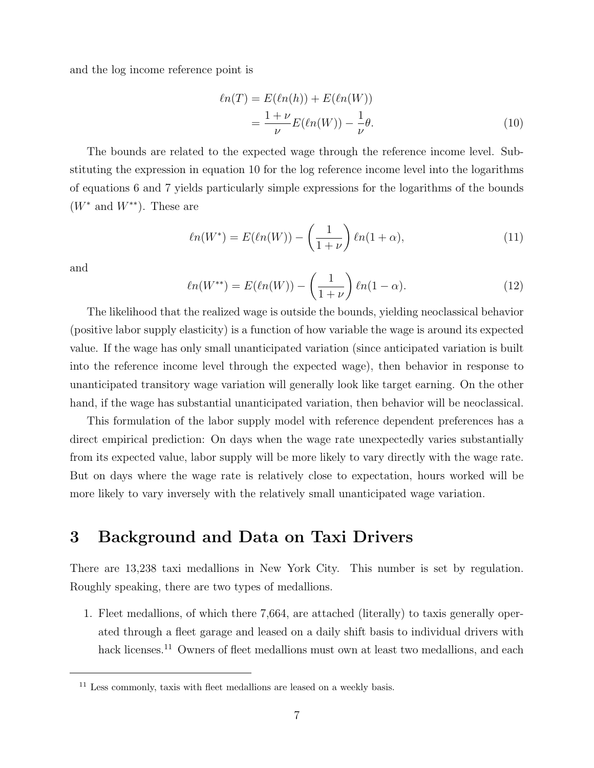and the log income reference point is

$$
\ell n(T) = E(\ell n(h)) + E(\ell n(W))
$$
  
= 
$$
\frac{1+\nu}{\nu} E(\ell n(W)) - \frac{1}{\nu} \theta.
$$
 (10)

The bounds are related to the expected wage through the reference income level. Substituting the expression in equation 10 for the log reference income level into the logarithms of equations 6 and 7 yields particularly simple expressions for the logarithms of the bounds  $(W^*$  and  $W^{**}$ ). These are

$$
\ell n(W^*) = E(\ell n(W)) - \left(\frac{1}{1+\nu}\right)\ell n(1+\alpha),\tag{11}
$$

and

$$
\ell n(W^{**}) = E(\ell n(W)) - \left(\frac{1}{1+\nu}\right)\ell n(1-\alpha). \tag{12}
$$

The likelihood that the realized wage is outside the bounds, yielding neoclassical behavior (positive labor supply elasticity) is a function of how variable the wage is around its expected value. If the wage has only small unanticipated variation (since anticipated variation is built into the reference income level through the expected wage), then behavior in response to unanticipated transitory wage variation will generally look like target earning. On the other hand, if the wage has substantial unanticipated variation, then behavior will be neoclassical.

This formulation of the labor supply model with reference dependent preferences has a direct empirical prediction: On days when the wage rate unexpectedly varies substantially from its expected value, labor supply will be more likely to vary directly with the wage rate. But on days where the wage rate is relatively close to expectation, hours worked will be more likely to vary inversely with the relatively small unanticipated wage variation.

### 3 Background and Data on Taxi Drivers

There are 13,238 taxi medallions in New York City. This number is set by regulation. Roughly speaking, there are two types of medallions.

1. Fleet medallions, of which there 7,664, are attached (literally) to taxis generally operated through a fleet garage and leased on a daily shift basis to individual drivers with hack licenses.<sup>11</sup> Owners of fleet medallions must own at least two medallions, and each

 $11$  Less commonly, taxis with fleet medallions are leased on a weekly basis.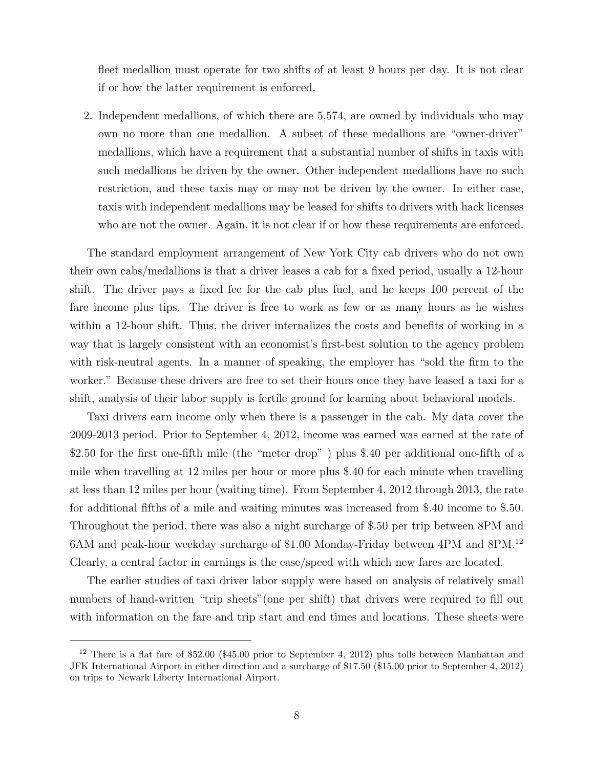fleet medallion must operate for two shifts of at least 9 hours per day. It is not clear if or how the latter requirement is enforced.

2. Independent medallions, of which there are 5,574, are owned by individuals who may own no more than one medallion. A subset of these medallions are "owner-driver" medallions, which have a requirement that a substantial number of shifts in taxis with such medallions be driven by the owner. Other independent medallions have no such restriction, and these taxis may or may not be driven by the owner. In either case, taxis with independent medallions may be leased for shifts to drivers with hack licenses who are not the owner. Again, it is not clear if or how these requirements are enforced.

The standard employment arrangement of New York City cab drivers who do not own their own cabs/medallions is that a driver leases a cab for a fixed period, usually a 12-hour shift. The driver pays a fixed fee for the cab plus fuel, and he keeps 100 percent of the fare income plus tips. The driver is free to work as few or as many hours as he wishes within a 12-hour shift. Thus, the driver internalizes the costs and benefits of working in a way that is largely consistent with an economist's first-best solution to the agency problem with risk-neutral agents. In a manner of speaking, the employer has "sold the firm to the worker." Because these drivers are free to set their hours once they have leased a taxi for a shift, analysis of their labor supply is fertile ground for learning about behavioral models.

Taxi drivers earn income only when there is a passenger in the cab. My data cover the 2009-2013 period. Prior to September 4, 2012, income was earned was earned at the rate of \$2.50 for the first one-fifth mile (the "meter drop" ) plus \$.40 per additional one-fifth of a mile when travelling at 12 miles per hour or more plus \$.40 for each minute when travelling at less than 12 miles per hour (waiting time). From September 4, 2012 through 2013, the rate for additional fifths of a mile and waiting minutes was increased from \$.40 income to \$.50. Throughout the period, there was also a night surcharge of \$.50 per trip between 8PM and 6AM and peak-hour weekday surcharge of \$1.00 Monday-Friday between 4PM and 8PM.<sup>12</sup> Clearly, a central factor in earnings is the ease/speed with which new fares are located.

The earlier studies of taxi driver labor supply were based on analysis of relatively small numbers of hand-written "trip sheets"(one per shift) that drivers were required to fill out with information on the fare and trip start and end times and locations. These sheets were

<sup>12</sup> There is a flat fare of \$52.00 (\$45.00 prior to September 4, 2012) plus tolls between Manhattan and JFK International Airport in either direction and a surcharge of \$17.50 (\$15.00 prior to September 4, 2012) on trips to Newark Liberty International Airport.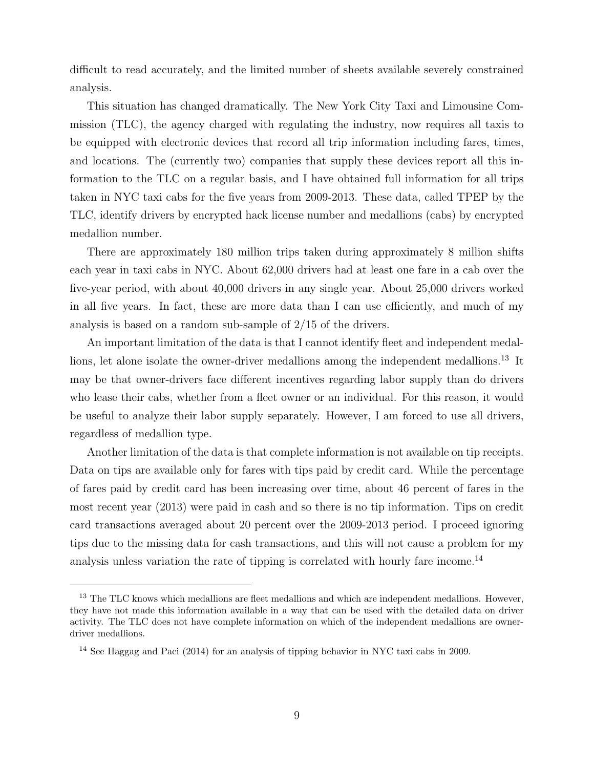difficult to read accurately, and the limited number of sheets available severely constrained analysis.

This situation has changed dramatically. The New York City Taxi and Limousine Commission (TLC), the agency charged with regulating the industry, now requires all taxis to be equipped with electronic devices that record all trip information including fares, times, and locations. The (currently two) companies that supply these devices report all this information to the TLC on a regular basis, and I have obtained full information for all trips taken in NYC taxi cabs for the five years from 2009-2013. These data, called TPEP by the TLC, identify drivers by encrypted hack license number and medallions (cabs) by encrypted medallion number.

There are approximately 180 million trips taken during approximately 8 million shifts each year in taxi cabs in NYC. About 62,000 drivers had at least one fare in a cab over the five-year period, with about 40,000 drivers in any single year. About 25,000 drivers worked in all five years. In fact, these are more data than I can use efficiently, and much of my analysis is based on a random sub-sample of 2/15 of the drivers.

An important limitation of the data is that I cannot identify fleet and independent medallions, let alone isolate the owner-driver medallions among the independent medallions.<sup>13</sup> It may be that owner-drivers face different incentives regarding labor supply than do drivers who lease their cabs, whether from a fleet owner or an individual. For this reason, it would be useful to analyze their labor supply separately. However, I am forced to use all drivers, regardless of medallion type.

Another limitation of the data is that complete information is not available on tip receipts. Data on tips are available only for fares with tips paid by credit card. While the percentage of fares paid by credit card has been increasing over time, about 46 percent of fares in the most recent year (2013) were paid in cash and so there is no tip information. Tips on credit card transactions averaged about 20 percent over the 2009-2013 period. I proceed ignoring tips due to the missing data for cash transactions, and this will not cause a problem for my analysis unless variation the rate of tipping is correlated with hourly fare income.<sup>14</sup>

<sup>&</sup>lt;sup>13</sup> The TLC knows which medallions are fleet medallions and which are independent medallions. However, they have not made this information available in a way that can be used with the detailed data on driver activity. The TLC does not have complete information on which of the independent medallions are ownerdriver medallions.

<sup>14</sup> See Haggag and Paci (2014) for an analysis of tipping behavior in NYC taxi cabs in 2009.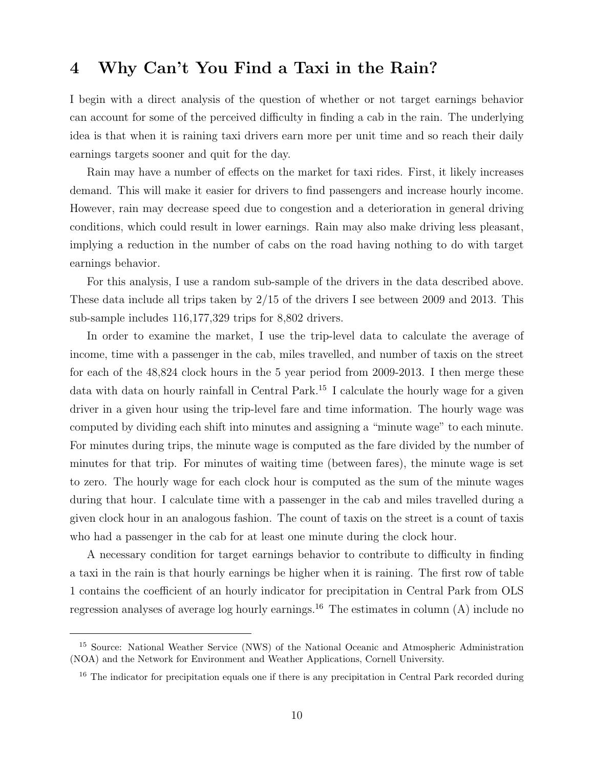## 4 Why Can't You Find a Taxi in the Rain?

I begin with a direct analysis of the question of whether or not target earnings behavior can account for some of the perceived difficulty in finding a cab in the rain. The underlying idea is that when it is raining taxi drivers earn more per unit time and so reach their daily earnings targets sooner and quit for the day.

Rain may have a number of effects on the market for taxi rides. First, it likely increases demand. This will make it easier for drivers to find passengers and increase hourly income. However, rain may decrease speed due to congestion and a deterioration in general driving conditions, which could result in lower earnings. Rain may also make driving less pleasant, implying a reduction in the number of cabs on the road having nothing to do with target earnings behavior.

For this analysis, I use a random sub-sample of the drivers in the data described above. These data include all trips taken by 2/15 of the drivers I see between 2009 and 2013. This sub-sample includes 116,177,329 trips for 8,802 drivers.

In order to examine the market, I use the trip-level data to calculate the average of income, time with a passenger in the cab, miles travelled, and number of taxis on the street for each of the 48,824 clock hours in the 5 year period from 2009-2013. I then merge these data with data on hourly rainfall in Central Park.<sup>15</sup> I calculate the hourly wage for a given driver in a given hour using the trip-level fare and time information. The hourly wage was computed by dividing each shift into minutes and assigning a "minute wage" to each minute. For minutes during trips, the minute wage is computed as the fare divided by the number of minutes for that trip. For minutes of waiting time (between fares), the minute wage is set to zero. The hourly wage for each clock hour is computed as the sum of the minute wages during that hour. I calculate time with a passenger in the cab and miles travelled during a given clock hour in an analogous fashion. The count of taxis on the street is a count of taxis who had a passenger in the cab for at least one minute during the clock hour.

A necessary condition for target earnings behavior to contribute to difficulty in finding a taxi in the rain is that hourly earnings be higher when it is raining. The first row of table 1 contains the coefficient of an hourly indicator for precipitation in Central Park from OLS regression analyses of average log hourly earnings.<sup>16</sup> The estimates in column  $(A)$  include no

<sup>15</sup> Source: National Weather Service (NWS) of the National Oceanic and Atmospheric Administration (NOA) and the Network for Environment and Weather Applications, Cornell University.

<sup>&</sup>lt;sup>16</sup> The indicator for precipitation equals one if there is any precipitation in Central Park recorded during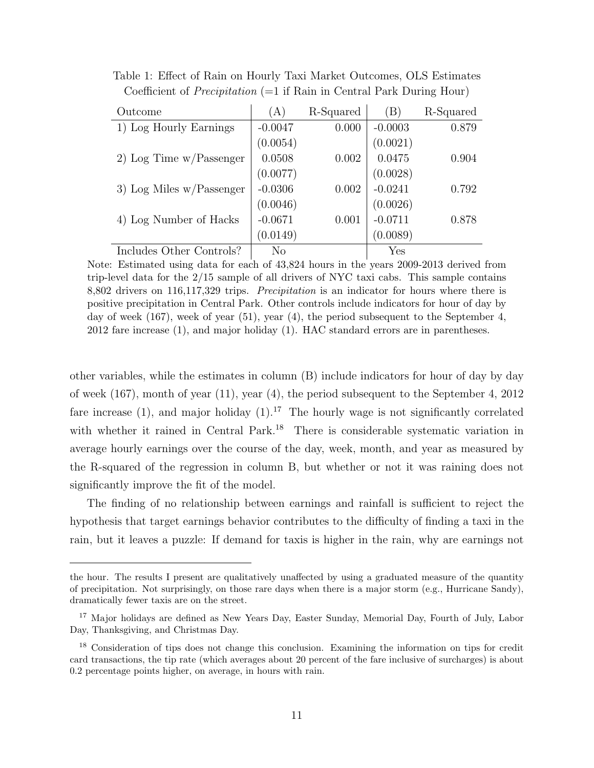| Outcome                     | (A)       | R-Squared | (B)       | R-Squared |
|-----------------------------|-----------|-----------|-----------|-----------|
| 1) Log Hourly Earnings      | $-0.0047$ | 0.000     | $-0.0003$ | 0.879     |
|                             | (0.0054)  |           | (0.0021)  |           |
| 2) Log Time $w/P$ assenger  | 0.0508    | 0.002     | 0.0475    | 0.904     |
|                             | (0.0077)  |           | (0.0028)  |           |
| 3) Log Miles $w/P$ assenger | $-0.0306$ | 0.002     | $-0.0241$ | 0.792     |
|                             | (0.0046)  |           | (0.0026)  |           |
| 4) Log Number of Hacks      | $-0.0671$ | 0.001     | $-0.0711$ | 0.878     |
|                             | (0.0149)  |           | (0.0089)  |           |
| Includes Other Controls?    | No        |           | Yes       |           |

Table 1: Effect of Rain on Hourly Taxi Market Outcomes, OLS Estimates Coefficient of *Precipitation* (=1 if Rain in Central Park During Hour)

Note: Estimated using data for each of 43,824 hours in the years 2009-2013 derived from trip-level data for the 2/15 sample of all drivers of NYC taxi cabs. This sample contains 8,802 drivers on 116,117,329 trips. Precipitation is an indicator for hours where there is positive precipitation in Central Park. Other controls include indicators for hour of day by day of week (167), week of year (51), year (4), the period subsequent to the September 4, 2012 fare increase (1), and major holiday (1). HAC standard errors are in parentheses.

other variables, while the estimates in column (B) include indicators for hour of day by day of week (167), month of year (11), year (4), the period subsequent to the September 4, 2012 fare increase (1), and major holiday  $(1).<sup>17</sup>$  The hourly wage is not significantly correlated with whether it rained in Central Park.<sup>18</sup> There is considerable systematic variation in average hourly earnings over the course of the day, week, month, and year as measured by the R-squared of the regression in column B, but whether or not it was raining does not significantly improve the fit of the model.

The finding of no relationship between earnings and rainfall is sufficient to reject the hypothesis that target earnings behavior contributes to the difficulty of finding a taxi in the rain, but it leaves a puzzle: If demand for taxis is higher in the rain, why are earnings not

the hour. The results I present are qualitatively unaffected by using a graduated measure of the quantity of precipitation. Not surprisingly, on those rare days when there is a major storm (e.g., Hurricane Sandy), dramatically fewer taxis are on the street.

<sup>&</sup>lt;sup>17</sup> Major holidays are defined as New Years Day, Easter Sunday, Memorial Day, Fourth of July, Labor Day, Thanksgiving, and Christmas Day.

<sup>18</sup> Consideration of tips does not change this conclusion. Examining the information on tips for credit card transactions, the tip rate (which averages about 20 percent of the fare inclusive of surcharges) is about 0.2 percentage points higher, on average, in hours with rain.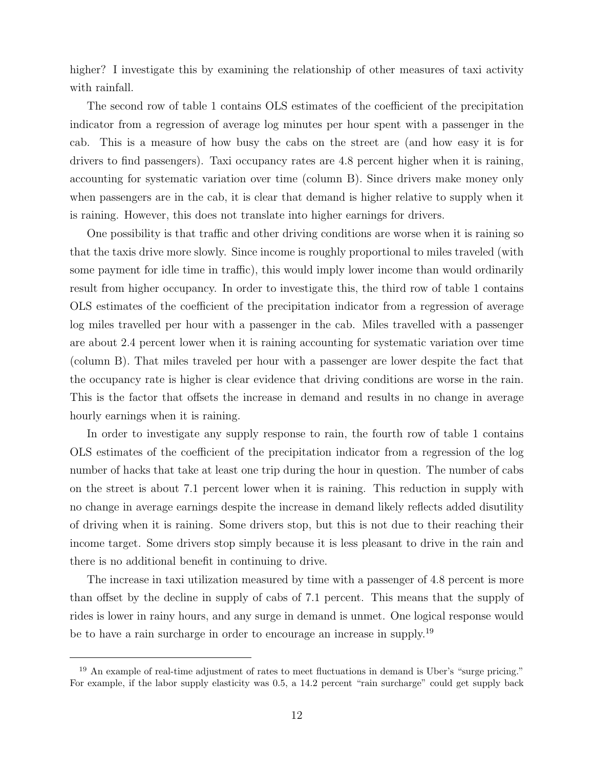higher? I investigate this by examining the relationship of other measures of taxi activity with rainfall.

The second row of table 1 contains OLS estimates of the coefficient of the precipitation indicator from a regression of average log minutes per hour spent with a passenger in the cab. This is a measure of how busy the cabs on the street are (and how easy it is for drivers to find passengers). Taxi occupancy rates are 4.8 percent higher when it is raining, accounting for systematic variation over time (column B). Since drivers make money only when passengers are in the cab, it is clear that demand is higher relative to supply when it is raining. However, this does not translate into higher earnings for drivers.

One possibility is that traffic and other driving conditions are worse when it is raining so that the taxis drive more slowly. Since income is roughly proportional to miles traveled (with some payment for idle time in traffic), this would imply lower income than would ordinarily result from higher occupancy. In order to investigate this, the third row of table 1 contains OLS estimates of the coefficient of the precipitation indicator from a regression of average log miles travelled per hour with a passenger in the cab. Miles travelled with a passenger are about 2.4 percent lower when it is raining accounting for systematic variation over time (column B). That miles traveled per hour with a passenger are lower despite the fact that the occupancy rate is higher is clear evidence that driving conditions are worse in the rain. This is the factor that offsets the increase in demand and results in no change in average hourly earnings when it is raining.

In order to investigate any supply response to rain, the fourth row of table 1 contains OLS estimates of the coefficient of the precipitation indicator from a regression of the log number of hacks that take at least one trip during the hour in question. The number of cabs on the street is about 7.1 percent lower when it is raining. This reduction in supply with no change in average earnings despite the increase in demand likely reflects added disutility of driving when it is raining. Some drivers stop, but this is not due to their reaching their income target. Some drivers stop simply because it is less pleasant to drive in the rain and there is no additional benefit in continuing to drive.

The increase in taxi utilization measured by time with a passenger of 4.8 percent is more than offset by the decline in supply of cabs of 7.1 percent. This means that the supply of rides is lower in rainy hours, and any surge in demand is unmet. One logical response would be to have a rain surcharge in order to encourage an increase in supply.<sup>19</sup>

<sup>&</sup>lt;sup>19</sup> An example of real-time adjustment of rates to meet fluctuations in demand is Uber's "surge pricing." For example, if the labor supply elasticity was 0.5, a 14.2 percent "rain surcharge" could get supply back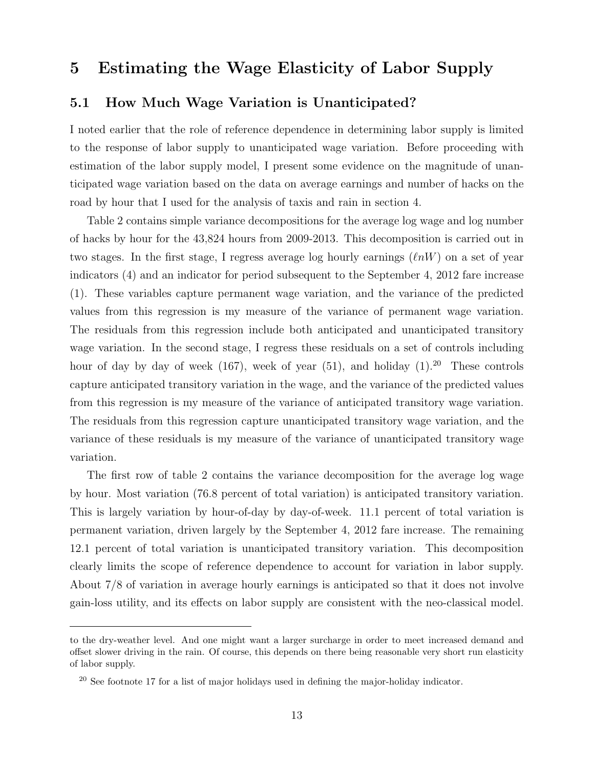## 5 Estimating the Wage Elasticity of Labor Supply

#### 5.1 How Much Wage Variation is Unanticipated?

I noted earlier that the role of reference dependence in determining labor supply is limited to the response of labor supply to unanticipated wage variation. Before proceeding with estimation of the labor supply model, I present some evidence on the magnitude of unanticipated wage variation based on the data on average earnings and number of hacks on the road by hour that I used for the analysis of taxis and rain in section 4.

Table 2 contains simple variance decompositions for the average log wage and log number of hacks by hour for the 43,824 hours from 2009-2013. This decomposition is carried out in two stages. In the first stage, I regress average log hourly earnings  $(\ell nW)$  on a set of year indicators (4) and an indicator for period subsequent to the September 4, 2012 fare increase (1). These variables capture permanent wage variation, and the variance of the predicted values from this regression is my measure of the variance of permanent wage variation. The residuals from this regression include both anticipated and unanticipated transitory wage variation. In the second stage, I regress these residuals on a set of controls including hour of day by day of week (167), week of year (51), and holiday  $(1).^{20}$  These controls capture anticipated transitory variation in the wage, and the variance of the predicted values from this regression is my measure of the variance of anticipated transitory wage variation. The residuals from this regression capture unanticipated transitory wage variation, and the variance of these residuals is my measure of the variance of unanticipated transitory wage variation.

The first row of table 2 contains the variance decomposition for the average log wage by hour. Most variation (76.8 percent of total variation) is anticipated transitory variation. This is largely variation by hour-of-day by day-of-week. 11.1 percent of total variation is permanent variation, driven largely by the September 4, 2012 fare increase. The remaining 12.1 percent of total variation is unanticipated transitory variation. This decomposition clearly limits the scope of reference dependence to account for variation in labor supply. About 7/8 of variation in average hourly earnings is anticipated so that it does not involve gain-loss utility, and its effects on labor supply are consistent with the neo-classical model.

to the dry-weather level. And one might want a larger surcharge in order to meet increased demand and offset slower driving in the rain. Of course, this depends on there being reasonable very short run elasticity of labor supply.

 $^{20}$  See footnote 17 for a list of major holidays used in defining the major-holiday indicator.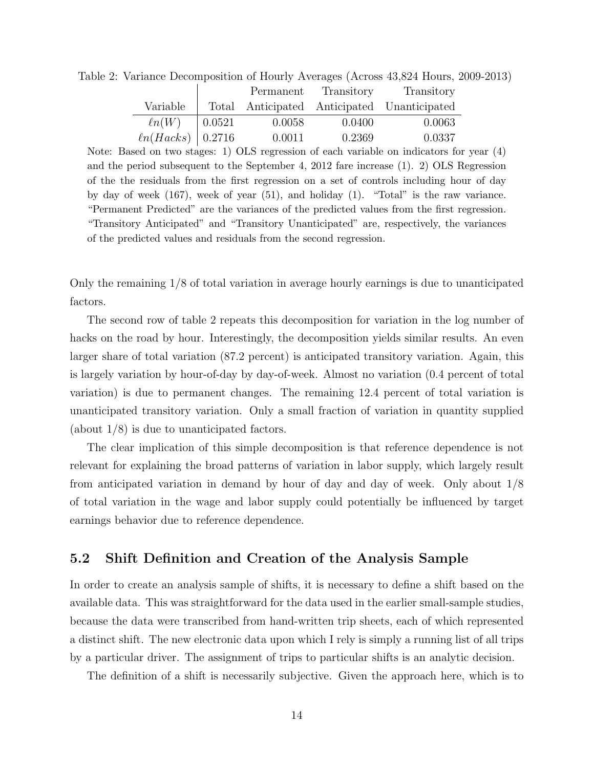|                    |               |        |                      | $\frac{1}{2}$                               |  |
|--------------------|---------------|--------|----------------------|---------------------------------------------|--|
|                    |               |        | Permanent Transitory | Transitory                                  |  |
| Variable           |               |        |                      | Total Anticipated Anticipated Unanticipated |  |
| $\ell n(W)$        | $\mid 0.0521$ | 0.0058 | 0.0400               | 0.0063                                      |  |
| $ln(Hacks)$ 0.2716 |               | 0.0011 | 0.2369               | 0.0337                                      |  |

Table 2: Variance Decomposition of Hourly Averages (Across 43,824 Hours, 2009-2013)

Note: Based on two stages: 1) OLS regression of each variable on indicators for year (4) and the period subsequent to the September 4, 2012 fare increase (1). 2) OLS Regression of the the residuals from the first regression on a set of controls including hour of day by day of week (167), week of year (51), and holiday (1). "Total" is the raw variance. "Permanent Predicted" are the variances of the predicted values from the first regression. "Transitory Anticipated" and "Transitory Unanticipated" are, respectively, the variances of the predicted values and residuals from the second regression.

Only the remaining 1/8 of total variation in average hourly earnings is due to unanticipated factors.

The second row of table 2 repeats this decomposition for variation in the log number of hacks on the road by hour. Interestingly, the decomposition yields similar results. An even larger share of total variation (87.2 percent) is anticipated transitory variation. Again, this is largely variation by hour-of-day by day-of-week. Almost no variation (0.4 percent of total variation) is due to permanent changes. The remaining 12.4 percent of total variation is unanticipated transitory variation. Only a small fraction of variation in quantity supplied (about 1/8) is due to unanticipated factors.

The clear implication of this simple decomposition is that reference dependence is not relevant for explaining the broad patterns of variation in labor supply, which largely result from anticipated variation in demand by hour of day and day of week. Only about 1/8 of total variation in the wage and labor supply could potentially be influenced by target earnings behavior due to reference dependence.

#### 5.2 Shift Definition and Creation of the Analysis Sample

In order to create an analysis sample of shifts, it is necessary to define a shift based on the available data. This was straightforward for the data used in the earlier small-sample studies, because the data were transcribed from hand-written trip sheets, each of which represented a distinct shift. The new electronic data upon which I rely is simply a running list of all trips by a particular driver. The assignment of trips to particular shifts is an analytic decision.

The definition of a shift is necessarily subjective. Given the approach here, which is to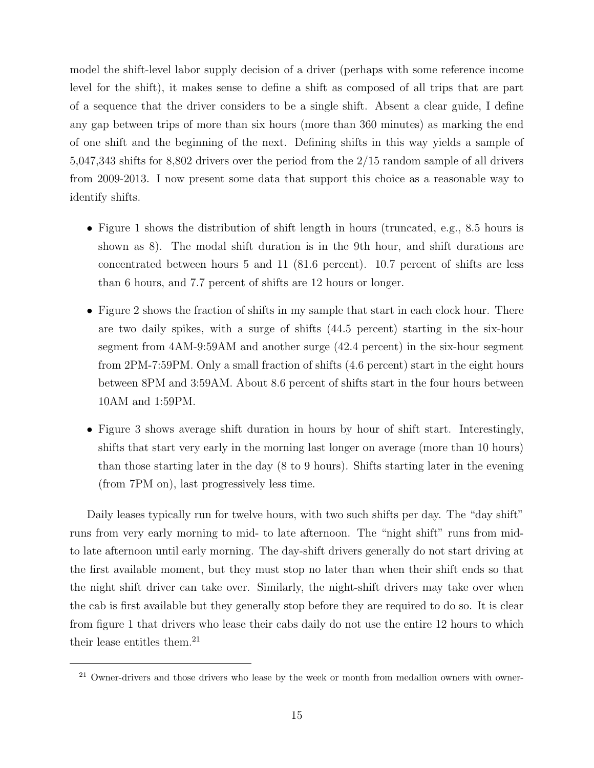model the shift-level labor supply decision of a driver (perhaps with some reference income level for the shift), it makes sense to define a shift as composed of all trips that are part of a sequence that the driver considers to be a single shift. Absent a clear guide, I define any gap between trips of more than six hours (more than 360 minutes) as marking the end of one shift and the beginning of the next. Defining shifts in this way yields a sample of 5,047,343 shifts for 8,802 drivers over the period from the 2/15 random sample of all drivers from 2009-2013. I now present some data that support this choice as a reasonable way to identify shifts.

- Figure 1 shows the distribution of shift length in hours (truncated, e.g., 8.5 hours is shown as 8). The modal shift duration is in the 9th hour, and shift durations are concentrated between hours 5 and 11 (81.6 percent). 10.7 percent of shifts are less than 6 hours, and 7.7 percent of shifts are 12 hours or longer.
- Figure 2 shows the fraction of shifts in my sample that start in each clock hour. There are two daily spikes, with a surge of shifts (44.5 percent) starting in the six-hour segment from 4AM-9:59AM and another surge (42.4 percent) in the six-hour segment from 2PM-7:59PM. Only a small fraction of shifts (4.6 percent) start in the eight hours between 8PM and 3:59AM. About 8.6 percent of shifts start in the four hours between 10AM and 1:59PM.
- Figure 3 shows average shift duration in hours by hour of shift start. Interestingly, shifts that start very early in the morning last longer on average (more than 10 hours) than those starting later in the day (8 to 9 hours). Shifts starting later in the evening (from 7PM on), last progressively less time.

Daily leases typically run for twelve hours, with two such shifts per day. The "day shift" runs from very early morning to mid- to late afternoon. The "night shift" runs from midto late afternoon until early morning. The day-shift drivers generally do not start driving at the first available moment, but they must stop no later than when their shift ends so that the night shift driver can take over. Similarly, the night-shift drivers may take over when the cab is first available but they generally stop before they are required to do so. It is clear from figure 1 that drivers who lease their cabs daily do not use the entire 12 hours to which their lease entitles them.<sup>21</sup>

 $21$  Owner-drivers and those drivers who lease by the week or month from medallion owners with owner-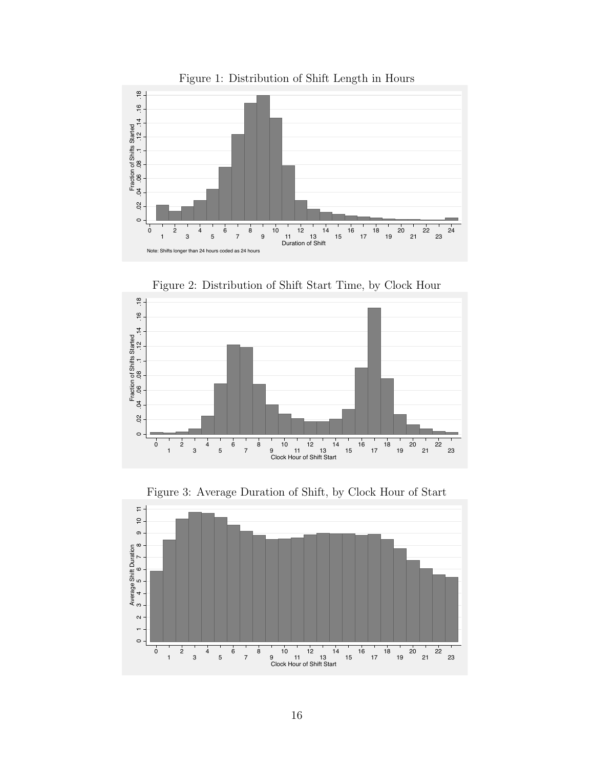

Figure 2: Distribution of Shift Start Time, by Clock Hour



Figure 3: Average Duration of Shift, by Clock Hour of Start

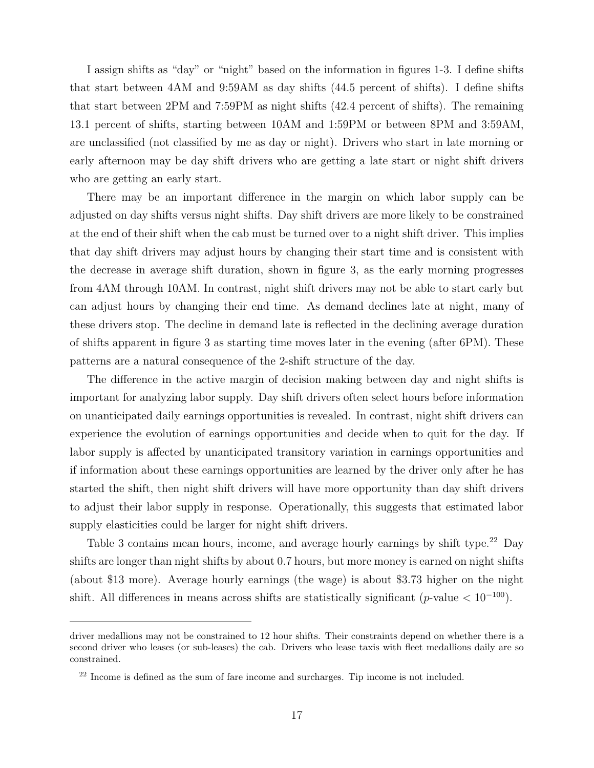I assign shifts as "day" or "night" based on the information in figures 1-3. I define shifts that start between 4AM and 9:59AM as day shifts (44.5 percent of shifts). I define shifts that start between 2PM and 7:59PM as night shifts (42.4 percent of shifts). The remaining 13.1 percent of shifts, starting between 10AM and 1:59PM or between 8PM and 3:59AM, are unclassified (not classified by me as day or night). Drivers who start in late morning or early afternoon may be day shift drivers who are getting a late start or night shift drivers who are getting an early start.

There may be an important difference in the margin on which labor supply can be adjusted on day shifts versus night shifts. Day shift drivers are more likely to be constrained at the end of their shift when the cab must be turned over to a night shift driver. This implies that day shift drivers may adjust hours by changing their start time and is consistent with the decrease in average shift duration, shown in figure 3, as the early morning progresses from 4AM through 10AM. In contrast, night shift drivers may not be able to start early but can adjust hours by changing their end time. As demand declines late at night, many of these drivers stop. The decline in demand late is reflected in the declining average duration of shifts apparent in figure 3 as starting time moves later in the evening (after 6PM). These patterns are a natural consequence of the 2-shift structure of the day.

The difference in the active margin of decision making between day and night shifts is important for analyzing labor supply. Day shift drivers often select hours before information on unanticipated daily earnings opportunities is revealed. In contrast, night shift drivers can experience the evolution of earnings opportunities and decide when to quit for the day. If labor supply is affected by unanticipated transitory variation in earnings opportunities and if information about these earnings opportunities are learned by the driver only after he has started the shift, then night shift drivers will have more opportunity than day shift drivers to adjust their labor supply in response. Operationally, this suggests that estimated labor supply elasticities could be larger for night shift drivers.

Table 3 contains mean hours, income, and average hourly earnings by shift type.<sup>22</sup> Day shifts are longer than night shifts by about 0.7 hours, but more money is earned on night shifts (about \$13 more). Average hourly earnings (the wage) is about \$3.73 higher on the night shift. All differences in means across shifts are statistically significant (p-value  $< 10^{-100}$ ).

driver medallions may not be constrained to 12 hour shifts. Their constraints depend on whether there is a second driver who leases (or sub-leases) the cab. Drivers who lease taxis with fleet medallions daily are so constrained.

 $22$  Income is defined as the sum of fare income and surcharges. Tip income is not included.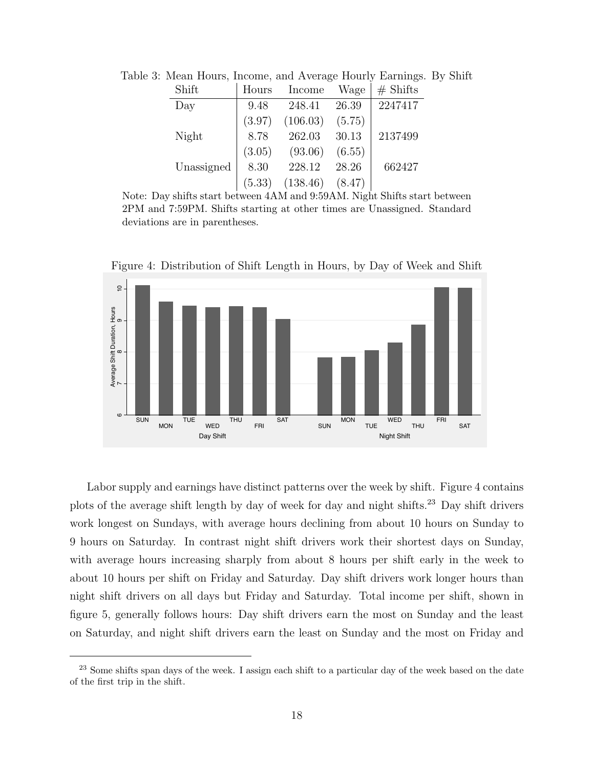| Shift      | Hours  | Income   | Wage   | $#$ Shifts |
|------------|--------|----------|--------|------------|
| Day        | 9.48   | 248.41   | 26.39  | 2247417    |
|            | (3.97) | (106.03) | (5.75) |            |
| Night      | 8.78   | 262.03   | 30.13  | 2137499    |
|            | (3.05) | (93.06)  | (6.55) |            |
| Unassigned | 8.30   | 228.12   | 28.26  | 662427     |
|            | (5.33) | (138.46) | (8.47) |            |

Table 3: Mean Hours, Income, and Average Hourly Earnings. By Shift

Note: Day shifts start between 4AM and 9:59AM. Night Shifts start between 2PM and 7:59PM. Shifts starting at other times are Unassigned. Standard deviations are in parentheses.



Figure 4: Distribution of Shift Length in Hours, by Day of Week and Shift

Labor supply and earnings have distinct patterns over the week by shift. Figure 4 contains plots of the average shift length by day of week for day and night shifts.<sup>23</sup> Day shift drivers work longest on Sundays, with average hours declining from about 10 hours on Sunday to 9 hours on Saturday. In contrast night shift drivers work their shortest days on Sunday, with average hours increasing sharply from about 8 hours per shift early in the week to about 10 hours per shift on Friday and Saturday. Day shift drivers work longer hours than night shift drivers on all days but Friday and Saturday. Total income per shift, shown in figure 5, generally follows hours: Day shift drivers earn the most on Sunday and the least on Saturday, and night shift drivers earn the least on Sunday and the most on Friday and

<sup>&</sup>lt;sup>23</sup> Some shifts span days of the week. I assign each shift to a particular day of the week based on the date of the first trip in the shift.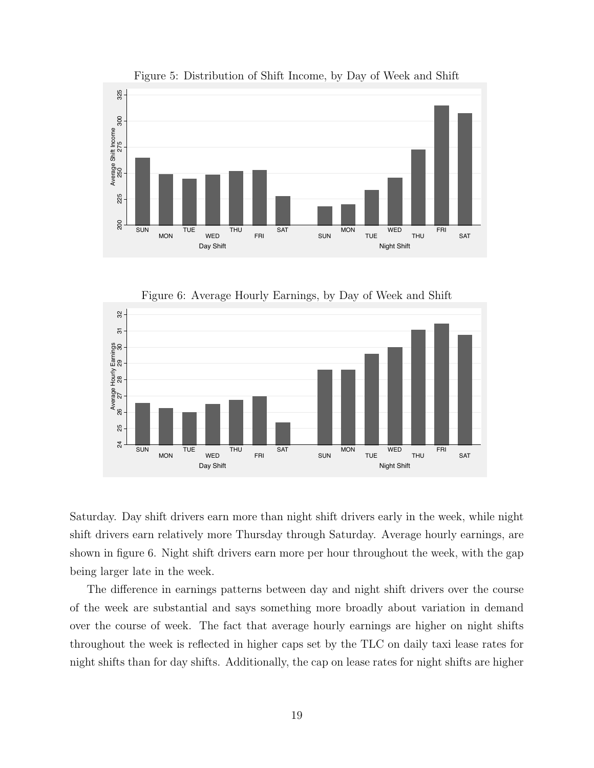

Figure 5: Distribution of Shift Income, by Day of Week and Shift

Figure 6: Average Hourly Earnings, by Day of Week and Shift



Saturday. Day shift drivers earn more than night shift drivers early in the week, while night shift drivers earn relatively more Thursday through Saturday. Average hourly earnings, are shown in figure 6. Night shift drivers earn more per hour throughout the week, with the gap being larger late in the week.

The difference in earnings patterns between day and night shift drivers over the course of the week are substantial and says something more broadly about variation in demand over the course of week. The fact that average hourly earnings are higher on night shifts throughout the week is reflected in higher caps set by the TLC on daily taxi lease rates for night shifts than for day shifts. Additionally, the cap on lease rates for night shifts are higher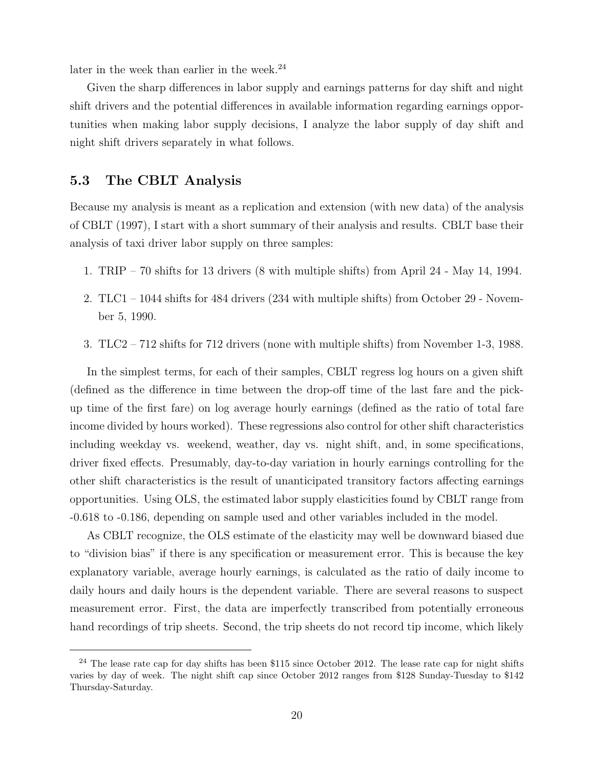later in the week than earlier in the week.<sup>24</sup>

Given the sharp differences in labor supply and earnings patterns for day shift and night shift drivers and the potential differences in available information regarding earnings opportunities when making labor supply decisions, I analyze the labor supply of day shift and night shift drivers separately in what follows.

#### 5.3 The CBLT Analysis

Because my analysis is meant as a replication and extension (with new data) of the analysis of CBLT (1997), I start with a short summary of their analysis and results. CBLT base their analysis of taxi driver labor supply on three samples:

- 1. TRIP 70 shifts for 13 drivers (8 with multiple shifts) from April 24 May 14, 1994.
- 2. TLC1 1044 shifts for 484 drivers (234 with multiple shifts) from October 29 November 5, 1990.
- 3. TLC2 712 shifts for 712 drivers (none with multiple shifts) from November 1-3, 1988.

In the simplest terms, for each of their samples, CBLT regress log hours on a given shift (defined as the difference in time between the drop-off time of the last fare and the pickup time of the first fare) on log average hourly earnings (defined as the ratio of total fare income divided by hours worked). These regressions also control for other shift characteristics including weekday vs. weekend, weather, day vs. night shift, and, in some specifications, driver fixed effects. Presumably, day-to-day variation in hourly earnings controlling for the other shift characteristics is the result of unanticipated transitory factors affecting earnings opportunities. Using OLS, the estimated labor supply elasticities found by CBLT range from -0.618 to -0.186, depending on sample used and other variables included in the model.

As CBLT recognize, the OLS estimate of the elasticity may well be downward biased due to "division bias" if there is any specification or measurement error. This is because the key explanatory variable, average hourly earnings, is calculated as the ratio of daily income to daily hours and daily hours is the dependent variable. There are several reasons to suspect measurement error. First, the data are imperfectly transcribed from potentially erroneous hand recordings of trip sheets. Second, the trip sheets do not record tip income, which likely

 $^{24}$  The lease rate cap for day shifts has been \$115 since October 2012. The lease rate cap for night shifts varies by day of week. The night shift cap since October 2012 ranges from \$128 Sunday-Tuesday to \$142 Thursday-Saturday.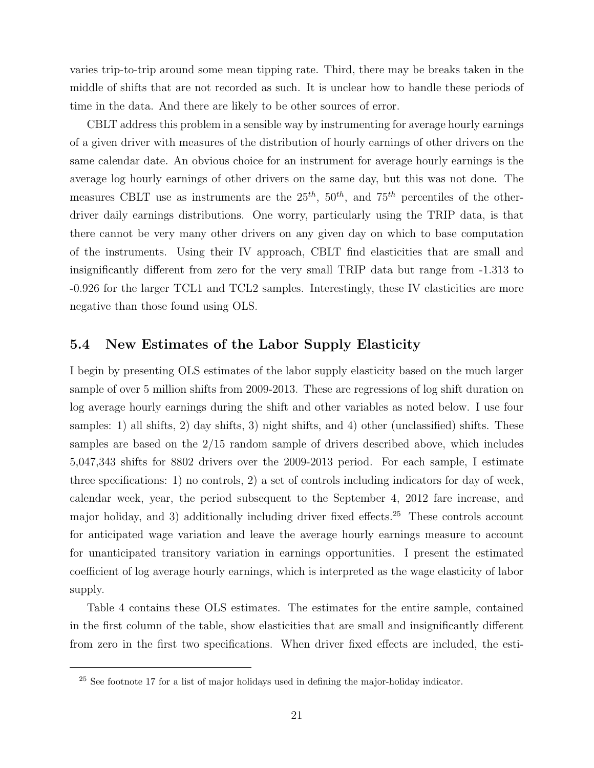varies trip-to-trip around some mean tipping rate. Third, there may be breaks taken in the middle of shifts that are not recorded as such. It is unclear how to handle these periods of time in the data. And there are likely to be other sources of error.

CBLT address this problem in a sensible way by instrumenting for average hourly earnings of a given driver with measures of the distribution of hourly earnings of other drivers on the same calendar date. An obvious choice for an instrument for average hourly earnings is the average log hourly earnings of other drivers on the same day, but this was not done. The measures CBLT use as instruments are the  $25^{th}$ ,  $50^{th}$ , and  $75^{th}$  percentiles of the otherdriver daily earnings distributions. One worry, particularly using the TRIP data, is that there cannot be very many other drivers on any given day on which to base computation of the instruments. Using their IV approach, CBLT find elasticities that are small and insignificantly different from zero for the very small TRIP data but range from -1.313 to -0.926 for the larger TCL1 and TCL2 samples. Interestingly, these IV elasticities are more negative than those found using OLS.

#### 5.4 New Estimates of the Labor Supply Elasticity

I begin by presenting OLS estimates of the labor supply elasticity based on the much larger sample of over 5 million shifts from 2009-2013. These are regressions of log shift duration on log average hourly earnings during the shift and other variables as noted below. I use four samples: 1) all shifts, 2) day shifts, 3) night shifts, and 4) other (unclassified) shifts. These samples are based on the 2/15 random sample of drivers described above, which includes 5,047,343 shifts for 8802 drivers over the 2009-2013 period. For each sample, I estimate three specifications: 1) no controls, 2) a set of controls including indicators for day of week, calendar week, year, the period subsequent to the September 4, 2012 fare increase, and major holiday, and 3) additionally including driver fixed effects.<sup>25</sup> These controls account for anticipated wage variation and leave the average hourly earnings measure to account for unanticipated transitory variation in earnings opportunities. I present the estimated coefficient of log average hourly earnings, which is interpreted as the wage elasticity of labor supply.

Table 4 contains these OLS estimates. The estimates for the entire sample, contained in the first column of the table, show elasticities that are small and insignificantly different from zero in the first two specifications. When driver fixed effects are included, the esti-

<sup>&</sup>lt;sup>25</sup> See footnote 17 for a list of major holidays used in defining the major-holiday indicator.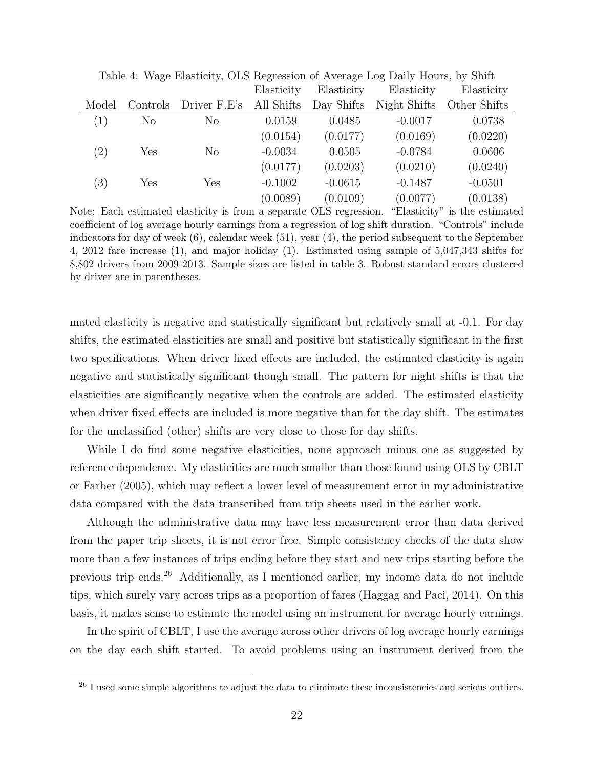|       | Table 1. <i>Wage</i> Enablishy, OLD Regression of Trenage Log Dairy Hould, by Office |                |            |            |              |              |  |  |
|-------|--------------------------------------------------------------------------------------|----------------|------------|------------|--------------|--------------|--|--|
|       |                                                                                      |                | Elasticity | Elasticity | Elasticity   | Elasticity   |  |  |
| Model | Controls                                                                             | Driver F.E's   | All Shifts | Day Shifts | Night Shifts | Other Shifts |  |  |
| (1)   | N <sub>o</sub>                                                                       | N <sub>o</sub> | 0.0159     | 0.0485     | $-0.0017$    | 0.0738       |  |  |
|       |                                                                                      |                | (0.0154)   | (0.0177)   | (0.0169)     | (0.0220)     |  |  |
| (2)   | Yes                                                                                  | N <sub>o</sub> | $-0.0034$  | 0.0505     | $-0.0784$    | 0.0606       |  |  |
|       |                                                                                      |                | (0.0177)   | (0.0203)   | (0.0210)     | (0.0240)     |  |  |
| (3)   | Yes                                                                                  | Yes            | $-0.1002$  | $-0.0615$  | $-0.1487$    | $-0.0501$    |  |  |
|       |                                                                                      |                | (0.0089)   | (0.0109)   | (0.0077)     | (0.0138)     |  |  |

Table 4: Wage Elasticity, OLS Regression of Average Log Daily Hours, by Shift

Note: Each estimated elasticity is from a separate OLS regression. "Elasticity" is the estimated coefficient of log average hourly earnings from a regression of log shift duration. "Controls" include indicators for day of week (6), calendar week (51), year (4), the period subsequent to the September 4, 2012 fare increase (1), and major holiday (1). Estimated using sample of 5,047,343 shifts for 8,802 drivers from 2009-2013. Sample sizes are listed in table 3. Robust standard errors clustered by driver are in parentheses.

mated elasticity is negative and statistically significant but relatively small at -0.1. For day shifts, the estimated elasticities are small and positive but statistically significant in the first two specifications. When driver fixed effects are included, the estimated elasticity is again negative and statistically significant though small. The pattern for night shifts is that the elasticities are significantly negative when the controls are added. The estimated elasticity when driver fixed effects are included is more negative than for the day shift. The estimates for the unclassified (other) shifts are very close to those for day shifts.

While I do find some negative elasticities, none approach minus one as suggested by reference dependence. My elasticities are much smaller than those found using OLS by CBLT or Farber (2005), which may reflect a lower level of measurement error in my administrative data compared with the data transcribed from trip sheets used in the earlier work.

Although the administrative data may have less measurement error than data derived from the paper trip sheets, it is not error free. Simple consistency checks of the data show more than a few instances of trips ending before they start and new trips starting before the previous trip ends.<sup>26</sup> Additionally, as I mentioned earlier, my income data do not include tips, which surely vary across trips as a proportion of fares (Haggag and Paci, 2014). On this basis, it makes sense to estimate the model using an instrument for average hourly earnings.

In the spirit of CBLT, I use the average across other drivers of log average hourly earnings on the day each shift started. To avoid problems using an instrument derived from the

<sup>&</sup>lt;sup>26</sup> I used some simple algorithms to adjust the data to eliminate these inconsistencies and serious outliers.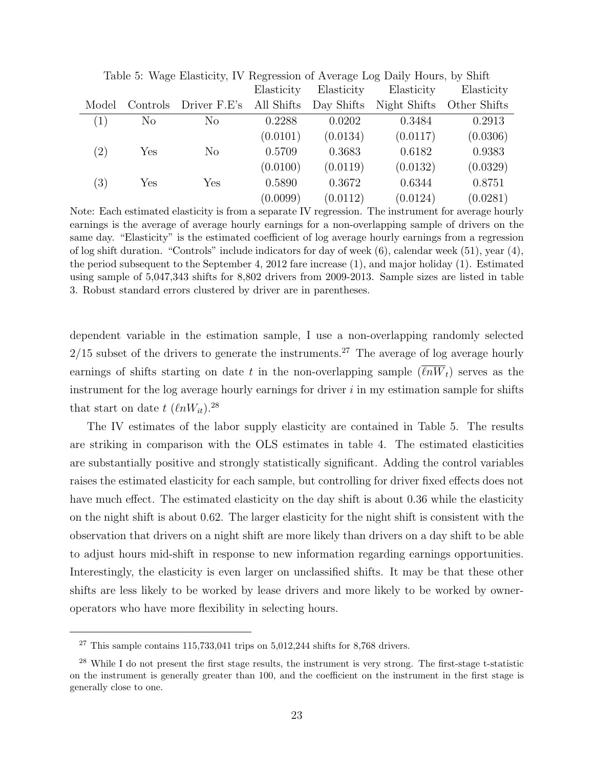|                   | Table 5. Wage Eliasticity, TV Reglession of Average Log Daily Hours, by Shift |                |            |            |              |              |  |  |  |
|-------------------|-------------------------------------------------------------------------------|----------------|------------|------------|--------------|--------------|--|--|--|
|                   |                                                                               |                | Elasticity | Elasticity | Elasticity   | Elasticity   |  |  |  |
| Model             | Controls                                                                      | Driver F.E's   | All Shifts | Day Shifts | Night Shifts | Other Shifts |  |  |  |
| (1)               | N <sub>o</sub>                                                                | N <sub>0</sub> | 0.2288     | 0.0202     | 0.3484       | 0.2913       |  |  |  |
|                   |                                                                               |                | (0.0101)   | (0.0134)   | (0.0117)     | (0.0306)     |  |  |  |
| $\left( 2\right)$ | Yes                                                                           | $\rm No$       | 0.5709     | 0.3683     | 0.6182       | 0.9383       |  |  |  |
|                   |                                                                               |                | (0.0100)   | (0.0119)   | (0.0132)     | (0.0329)     |  |  |  |
| (3)               | Yes                                                                           | Yes            | 0.5890     | 0.3672     | 0.6344       | 0.8751       |  |  |  |
|                   |                                                                               |                | (0.0099)   | (0.0112)   | (0.0124)     | (0.0281)     |  |  |  |

Table 5: Wage Elasticity, IV Regression of Average Log Daily Hours, by Shift

Note: Each estimated elasticity is from a separate IV regression. The instrument for average hourly earnings is the average of average hourly earnings for a non-overlapping sample of drivers on the same day. "Elasticity" is the estimated coefficient of log average hourly earnings from a regression of log shift duration. "Controls" include indicators for day of week (6), calendar week (51), year (4), the period subsequent to the September 4, 2012 fare increase (1), and major holiday (1). Estimated using sample of 5,047,343 shifts for 8,802 drivers from 2009-2013. Sample sizes are listed in table 3. Robust standard errors clustered by driver are in parentheses.

dependent variable in the estimation sample, I use a non-overlapping randomly selected  $2/15$  subset of the drivers to generate the instruments.<sup>27</sup> The average of log average hourly earnings of shifts starting on date t in the non-overlapping sample  $(\overline{\ell nW_t})$  serves as the instrument for the log average hourly earnings for driver  $i$  in my estimation sample for shifts that start on date t  $(\ell nW_{it})$ .<sup>28</sup>

The IV estimates of the labor supply elasticity are contained in Table 5. The results are striking in comparison with the OLS estimates in table 4. The estimated elasticities are substantially positive and strongly statistically significant. Adding the control variables raises the estimated elasticity for each sample, but controlling for driver fixed effects does not have much effect. The estimated elasticity on the day shift is about 0.36 while the elasticity on the night shift is about 0.62. The larger elasticity for the night shift is consistent with the observation that drivers on a night shift are more likely than drivers on a day shift to be able to adjust hours mid-shift in response to new information regarding earnings opportunities. Interestingly, the elasticity is even larger on unclassified shifts. It may be that these other shifts are less likely to be worked by lease drivers and more likely to be worked by owneroperators who have more flexibility in selecting hours.

 $27$  This sample contains 115,733,041 trips on 5,012,244 shifts for 8,768 drivers.

<sup>28</sup> While I do not present the first stage results, the instrument is very strong. The first-stage t-statistic on the instrument is generally greater than 100, and the coefficient on the instrument in the first stage is generally close to one.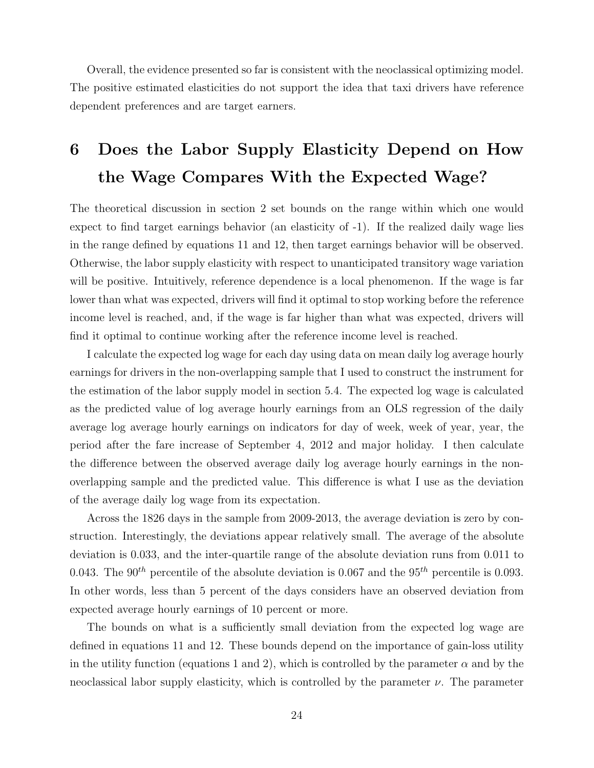Overall, the evidence presented so far is consistent with the neoclassical optimizing model. The positive estimated elasticities do not support the idea that taxi drivers have reference dependent preferences and are target earners.

## 6 Does the Labor Supply Elasticity Depend on How the Wage Compares With the Expected Wage?

The theoretical discussion in section 2 set bounds on the range within which one would expect to find target earnings behavior (an elasticity of -1). If the realized daily wage lies in the range defined by equations 11 and 12, then target earnings behavior will be observed. Otherwise, the labor supply elasticity with respect to unanticipated transitory wage variation will be positive. Intuitively, reference dependence is a local phenomenon. If the wage is far lower than what was expected, drivers will find it optimal to stop working before the reference income level is reached, and, if the wage is far higher than what was expected, drivers will find it optimal to continue working after the reference income level is reached.

I calculate the expected log wage for each day using data on mean daily log average hourly earnings for drivers in the non-overlapping sample that I used to construct the instrument for the estimation of the labor supply model in section 5.4. The expected log wage is calculated as the predicted value of log average hourly earnings from an OLS regression of the daily average log average hourly earnings on indicators for day of week, week of year, year, the period after the fare increase of September 4, 2012 and major holiday. I then calculate the difference between the observed average daily log average hourly earnings in the nonoverlapping sample and the predicted value. This difference is what I use as the deviation of the average daily log wage from its expectation.

Across the 1826 days in the sample from 2009-2013, the average deviation is zero by construction. Interestingly, the deviations appear relatively small. The average of the absolute deviation is 0.033, and the inter-quartile range of the absolute deviation runs from 0.011 to 0.043. The 90<sup>th</sup> percentile of the absolute deviation is 0.067 and the 95<sup>th</sup> percentile is 0.093. In other words, less than 5 percent of the days considers have an observed deviation from expected average hourly earnings of 10 percent or more.

The bounds on what is a sufficiently small deviation from the expected log wage are defined in equations 11 and 12. These bounds depend on the importance of gain-loss utility in the utility function (equations 1 and 2), which is controlled by the parameter  $\alpha$  and by the neoclassical labor supply elasticity, which is controlled by the parameter  $\nu$ . The parameter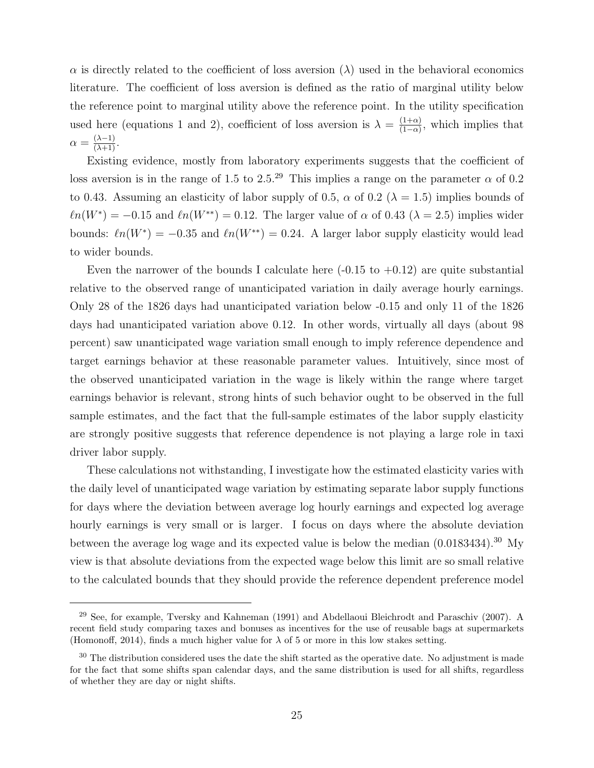$\alpha$  is directly related to the coefficient of loss aversion ( $\lambda$ ) used in the behavioral economics literature. The coefficient of loss aversion is defined as the ratio of marginal utility below the reference point to marginal utility above the reference point. In the utility specification used here (equations 1 and 2), coefficient of loss aversion is  $\lambda = \frac{(1+\alpha)}{(1-\alpha)}$  $\frac{(1+\alpha)}{(1-\alpha)}$ , which implies that  $\alpha = \frac{(\lambda - 1)}{(\lambda + 1)}.$ 

Existing evidence, mostly from laboratory experiments suggests that the coefficient of loss aversion is in the range of 1.5 to 2.5.<sup>29</sup> This implies a range on the parameter  $\alpha$  of 0.2 to 0.43. Assuming an elasticity of labor supply of 0.5,  $\alpha$  of 0.2 ( $\lambda = 1.5$ ) implies bounds of  $\ell n(W^*) = -0.15$  and  $\ell n(W^{**}) = 0.12$ . The larger value of  $\alpha$  of 0.43 ( $\lambda = 2.5$ ) implies wider bounds:  $ln(W^*) = -0.35$  and  $ln(W^{**}) = 0.24$ . A larger labor supply elasticity would lead to wider bounds.

Even the narrower of the bounds I calculate here  $(-0.15 \text{ to } +0.12)$  are quite substantial relative to the observed range of unanticipated variation in daily average hourly earnings. Only 28 of the 1826 days had unanticipated variation below -0.15 and only 11 of the 1826 days had unanticipated variation above 0.12. In other words, virtually all days (about 98 percent) saw unanticipated wage variation small enough to imply reference dependence and target earnings behavior at these reasonable parameter values. Intuitively, since most of the observed unanticipated variation in the wage is likely within the range where target earnings behavior is relevant, strong hints of such behavior ought to be observed in the full sample estimates, and the fact that the full-sample estimates of the labor supply elasticity are strongly positive suggests that reference dependence is not playing a large role in taxi driver labor supply.

These calculations not withstanding, I investigate how the estimated elasticity varies with the daily level of unanticipated wage variation by estimating separate labor supply functions for days where the deviation between average log hourly earnings and expected log average hourly earnings is very small or is larger. I focus on days where the absolute deviation between the average log wage and its expected value is below the median  $(0.0183434).^{30}$  My view is that absolute deviations from the expected wage below this limit are so small relative to the calculated bounds that they should provide the reference dependent preference model

<sup>29</sup> See, for example, Tversky and Kahneman (1991) and Abdellaoui Bleichrodt and Paraschiv (2007). A recent field study comparing taxes and bonuses as incentives for the use of reusable bags at supermarkets (Homonoff, 2014), finds a much higher value for  $\lambda$  of 5 or more in this low stakes setting.

 $30$  The distribution considered uses the date the shift started as the operative date. No adjustment is made for the fact that some shifts span calendar days, and the same distribution is used for all shifts, regardless of whether they are day or night shifts.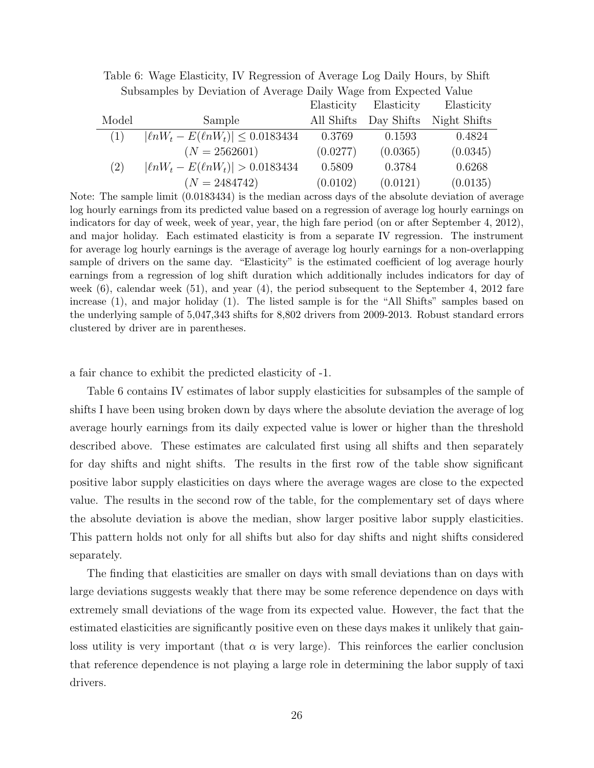|       |                                            | Elasticity | Elasticity | Elasticity   |
|-------|--------------------------------------------|------------|------------|--------------|
| Model | Sample                                     | All Shifts | Day Shifts | Night Shifts |
| (1)   | $ \ln W_t - E(\ln W_t)  \leq 0.0183434$    | 0.3769     | 0.1593     | 0.4824       |
|       | $(N = 2562601)$                            | (0.0277)   | (0.0365)   | (0.0345)     |
| (2)   | $ \ell n W_t - E(\ell n W_t)  > 0.0183434$ | 0.5809     | 0.3784     | 0.6268       |
|       | $(N = 2484742)$                            | (0.0102)   | (0.0121)   | (0.0135)     |

Table 6: Wage Elasticity, IV Regression of Average Log Daily Hours, by Shift Subsamples by Deviation of Average Daily Wage from Expected Value

Note: The sample limit (0.0183434) is the median across days of the absolute deviation of average log hourly earnings from its predicted value based on a regression of average log hourly earnings on indicators for day of week, week of year, year, the high fare period (on or after September 4, 2012), and major holiday. Each estimated elasticity is from a separate IV regression. The instrument for average log hourly earnings is the average of average log hourly earnings for a non-overlapping sample of drivers on the same day. "Elasticity" is the estimated coefficient of log average hourly earnings from a regression of log shift duration which additionally includes indicators for day of week  $(6)$ , calendar week  $(51)$ , and year  $(4)$ , the period subsequent to the September 4, 2012 fare increase (1), and major holiday (1). The listed sample is for the "All Shifts" samples based on the underlying sample of 5,047,343 shifts for 8,802 drivers from 2009-2013. Robust standard errors clustered by driver are in parentheses.

a fair chance to exhibit the predicted elasticity of -1.

Table 6 contains IV estimates of labor supply elasticities for subsamples of the sample of shifts I have been using broken down by days where the absolute deviation the average of log average hourly earnings from its daily expected value is lower or higher than the threshold described above. These estimates are calculated first using all shifts and then separately for day shifts and night shifts. The results in the first row of the table show significant positive labor supply elasticities on days where the average wages are close to the expected value. The results in the second row of the table, for the complementary set of days where the absolute deviation is above the median, show larger positive labor supply elasticities. This pattern holds not only for all shifts but also for day shifts and night shifts considered separately.

The finding that elasticities are smaller on days with small deviations than on days with large deviations suggests weakly that there may be some reference dependence on days with extremely small deviations of the wage from its expected value. However, the fact that the estimated elasticities are significantly positive even on these days makes it unlikely that gainloss utility is very important (that  $\alpha$  is very large). This reinforces the earlier conclusion that reference dependence is not playing a large role in determining the labor supply of taxi drivers.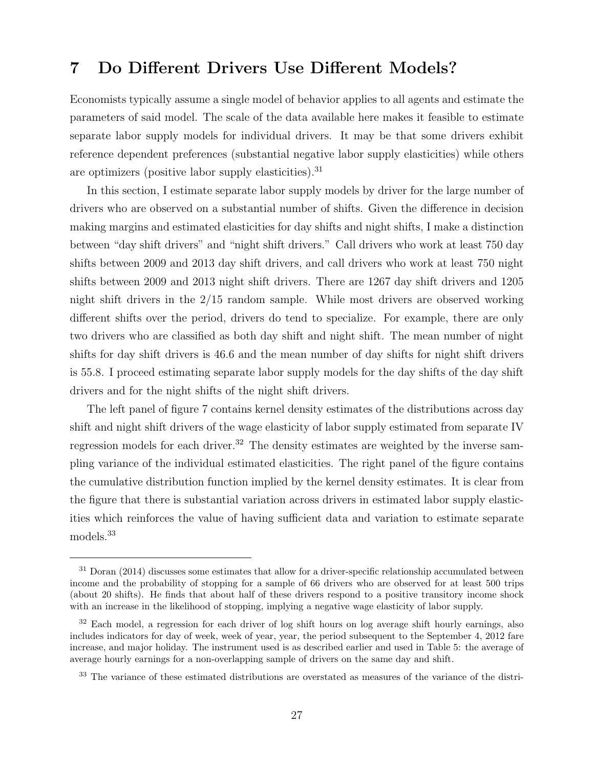## 7 Do Different Drivers Use Different Models?

Economists typically assume a single model of behavior applies to all agents and estimate the parameters of said model. The scale of the data available here makes it feasible to estimate separate labor supply models for individual drivers. It may be that some drivers exhibit reference dependent preferences (substantial negative labor supply elasticities) while others are optimizers (positive labor supply elasticities).  $31$ 

In this section, I estimate separate labor supply models by driver for the large number of drivers who are observed on a substantial number of shifts. Given the difference in decision making margins and estimated elasticities for day shifts and night shifts, I make a distinction between "day shift drivers" and "night shift drivers." Call drivers who work at least 750 day shifts between 2009 and 2013 day shift drivers, and call drivers who work at least 750 night shifts between 2009 and 2013 night shift drivers. There are 1267 day shift drivers and 1205 night shift drivers in the 2/15 random sample. While most drivers are observed working different shifts over the period, drivers do tend to specialize. For example, there are only two drivers who are classified as both day shift and night shift. The mean number of night shifts for day shift drivers is 46.6 and the mean number of day shifts for night shift drivers is 55.8. I proceed estimating separate labor supply models for the day shifts of the day shift drivers and for the night shifts of the night shift drivers.

The left panel of figure 7 contains kernel density estimates of the distributions across day shift and night shift drivers of the wage elasticity of labor supply estimated from separate IV regression models for each driver.<sup>32</sup> The density estimates are weighted by the inverse sampling variance of the individual estimated elasticities. The right panel of the figure contains the cumulative distribution function implied by the kernel density estimates. It is clear from the figure that there is substantial variation across drivers in estimated labor supply elasticities which reinforces the value of having sufficient data and variation to estimate separate models.<sup>33</sup>

 $31$  Doran (2014) discusses some estimates that allow for a driver-specific relationship accumulated between income and the probability of stopping for a sample of 66 drivers who are observed for at least 500 trips (about 20 shifts). He finds that about half of these drivers respond to a positive transitory income shock with an increase in the likelihood of stopping, implying a negative wage elasticity of labor supply.

<sup>&</sup>lt;sup>32</sup> Each model, a regression for each driver of log shift hours on log average shift hourly earnings, also includes indicators for day of week, week of year, year, the period subsequent to the September 4, 2012 fare increase, and major holiday. The instrument used is as described earlier and used in Table 5: the average of average hourly earnings for a non-overlapping sample of drivers on the same day and shift.

<sup>&</sup>lt;sup>33</sup> The variance of these estimated distributions are overstated as measures of the variance of the distri-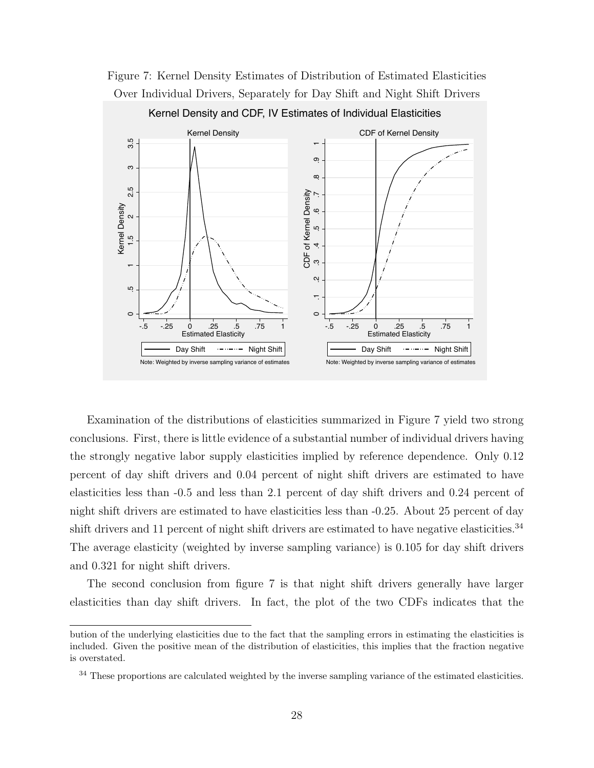

Figure 7: Kernel Density Estimates of Distribution of Estimated Elasticities Over Individual Drivers, Separately for Day Shift and Night Shift Drivers

Examination of the distributions of elasticities summarized in Figure 7 yield two strong conclusions. First, there is little evidence of a substantial number of individual drivers having the strongly negative labor supply elasticities implied by reference dependence. Only 0.12 percent of day shift drivers and 0.04 percent of night shift drivers are estimated to have elasticities less than -0.5 and less than 2.1 percent of day shift drivers and 0.24 percent of night shift drivers are estimated to have elasticities less than -0.25. About 25 percent of day shift drivers and 11 percent of night shift drivers are estimated to have negative elasticities.<sup>34</sup> The average elasticity (weighted by inverse sampling variance) is 0.105 for day shift drivers and 0.321 for night shift drivers.

The second conclusion from figure 7 is that night shift drivers generally have larger elasticities than day shift drivers. In fact, the plot of the two CDFs indicates that the

bution of the underlying elasticities due to the fact that the sampling errors in estimating the elasticities is included. Given the positive mean of the distribution of elasticities, this implies that the fraction negative is overstated.

<sup>&</sup>lt;sup>34</sup> These proportions are calculated weighted by the inverse sampling variance of the estimated elasticities.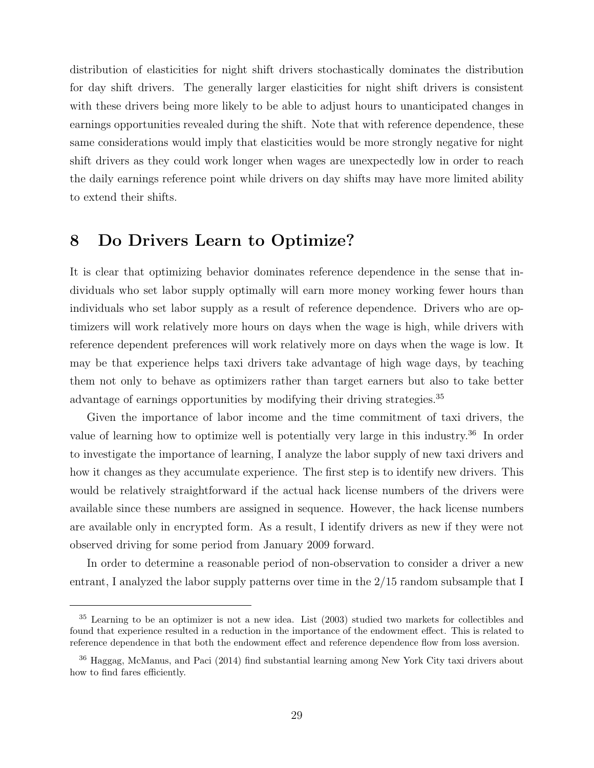distribution of elasticities for night shift drivers stochastically dominates the distribution for day shift drivers. The generally larger elasticities for night shift drivers is consistent with these drivers being more likely to be able to adjust hours to unanticipated changes in earnings opportunities revealed during the shift. Note that with reference dependence, these same considerations would imply that elasticities would be more strongly negative for night shift drivers as they could work longer when wages are unexpectedly low in order to reach the daily earnings reference point while drivers on day shifts may have more limited ability to extend their shifts.

## 8 Do Drivers Learn to Optimize?

It is clear that optimizing behavior dominates reference dependence in the sense that individuals who set labor supply optimally will earn more money working fewer hours than individuals who set labor supply as a result of reference dependence. Drivers who are optimizers will work relatively more hours on days when the wage is high, while drivers with reference dependent preferences will work relatively more on days when the wage is low. It may be that experience helps taxi drivers take advantage of high wage days, by teaching them not only to behave as optimizers rather than target earners but also to take better advantage of earnings opportunities by modifying their driving strategies.<sup>35</sup>

Given the importance of labor income and the time commitment of taxi drivers, the value of learning how to optimize well is potentially very large in this industry.<sup>36</sup> In order to investigate the importance of learning, I analyze the labor supply of new taxi drivers and how it changes as they accumulate experience. The first step is to identify new drivers. This would be relatively straightforward if the actual hack license numbers of the drivers were available since these numbers are assigned in sequence. However, the hack license numbers are available only in encrypted form. As a result, I identify drivers as new if they were not observed driving for some period from January 2009 forward.

In order to determine a reasonable period of non-observation to consider a driver a new entrant, I analyzed the labor supply patterns over time in the 2/15 random subsample that I

<sup>&</sup>lt;sup>35</sup> Learning to be an optimizer is not a new idea. List (2003) studied two markets for collectibles and found that experience resulted in a reduction in the importance of the endowment effect. This is related to reference dependence in that both the endowment effect and reference dependence flow from loss aversion.

<sup>36</sup> Haggag, McManus, and Paci (2014) find substantial learning among New York City taxi drivers about how to find fares efficiently.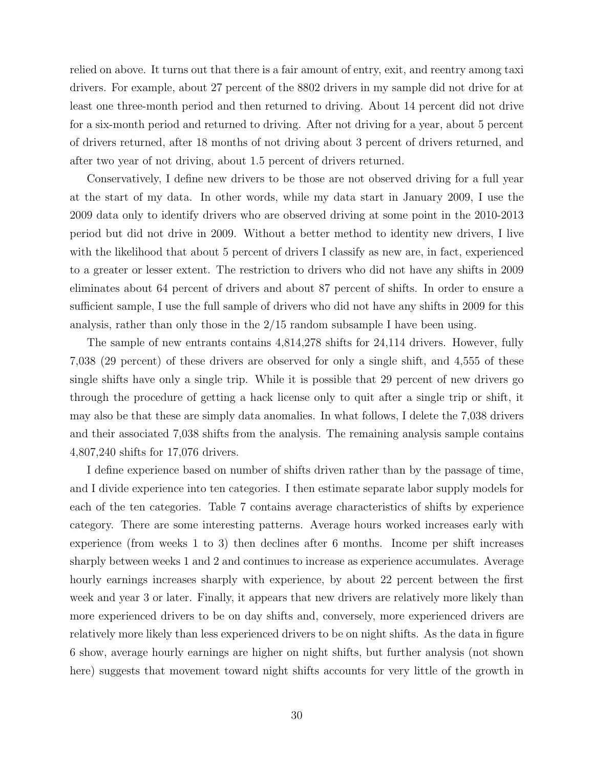relied on above. It turns out that there is a fair amount of entry, exit, and reentry among taxi drivers. For example, about 27 percent of the 8802 drivers in my sample did not drive for at least one three-month period and then returned to driving. About 14 percent did not drive for a six-month period and returned to driving. After not driving for a year, about 5 percent of drivers returned, after 18 months of not driving about 3 percent of drivers returned, and after two year of not driving, about 1.5 percent of drivers returned.

Conservatively, I define new drivers to be those are not observed driving for a full year at the start of my data. In other words, while my data start in January 2009, I use the 2009 data only to identify drivers who are observed driving at some point in the 2010-2013 period but did not drive in 2009. Without a better method to identity new drivers, I live with the likelihood that about 5 percent of drivers I classify as new are, in fact, experienced to a greater or lesser extent. The restriction to drivers who did not have any shifts in 2009 eliminates about 64 percent of drivers and about 87 percent of shifts. In order to ensure a sufficient sample, I use the full sample of drivers who did not have any shifts in 2009 for this analysis, rather than only those in the 2/15 random subsample I have been using.

The sample of new entrants contains 4,814,278 shifts for 24,114 drivers. However, fully 7,038 (29 percent) of these drivers are observed for only a single shift, and 4,555 of these single shifts have only a single trip. While it is possible that 29 percent of new drivers go through the procedure of getting a hack license only to quit after a single trip or shift, it may also be that these are simply data anomalies. In what follows, I delete the 7,038 drivers and their associated 7,038 shifts from the analysis. The remaining analysis sample contains 4,807,240 shifts for 17,076 drivers.

I define experience based on number of shifts driven rather than by the passage of time, and I divide experience into ten categories. I then estimate separate labor supply models for each of the ten categories. Table 7 contains average characteristics of shifts by experience category. There are some interesting patterns. Average hours worked increases early with experience (from weeks 1 to 3) then declines after 6 months. Income per shift increases sharply between weeks 1 and 2 and continues to increase as experience accumulates. Average hourly earnings increases sharply with experience, by about 22 percent between the first week and year 3 or later. Finally, it appears that new drivers are relatively more likely than more experienced drivers to be on day shifts and, conversely, more experienced drivers are relatively more likely than less experienced drivers to be on night shifts. As the data in figure 6 show, average hourly earnings are higher on night shifts, but further analysis (not shown here) suggests that movement toward night shifts accounts for very little of the growth in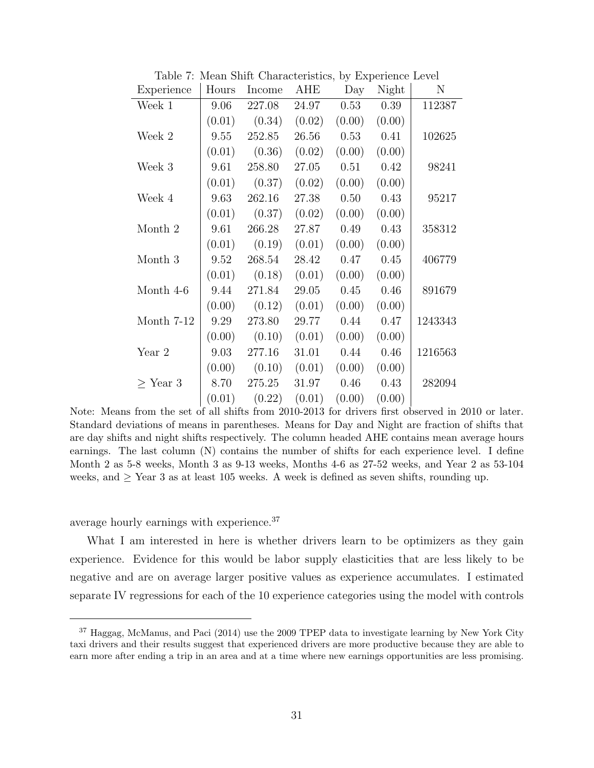| Experience    | Hours  | Income | AHE    | Day    | Night  | N       |
|---------------|--------|--------|--------|--------|--------|---------|
| Week 1        | 9.06   | 227.08 | 24.97  | 0.53   | 0.39   | 112387  |
|               | (0.01) | (0.34) | (0.02) | (0.00) | (0.00) |         |
| Week 2        | 9.55   | 252.85 | 26.56  | 0.53   | 0.41   | 102625  |
|               | (0.01) | (0.36) | (0.02) | (0.00) | (0.00) |         |
| Week 3        | 9.61   | 258.80 | 27.05  | 0.51   | 0.42   | 98241   |
|               | (0.01) | (0.37) | (0.02) | (0.00) | (0.00) |         |
| Week 4        | 9.63   | 262.16 | 27.38  | 0.50   | 0.43   | 95217   |
|               | (0.01) | (0.37) | (0.02) | (0.00) | (0.00) |         |
| Month 2       | 9.61   | 266.28 | 27.87  | 0.49   | 0.43   | 358312  |
|               | (0.01) | (0.19) | (0.01) | (0.00) | (0.00) |         |
| Month 3       | 9.52   | 268.54 | 28.42  | 0.47   | 0.45   | 406779  |
|               | (0.01) | (0.18) | (0.01) | (0.00) | (0.00) |         |
| Month 4-6     | 9.44   | 271.84 | 29.05  | 0.45   | 0.46   | 891679  |
|               | (0.00) | (0.12) | (0.01) | (0.00) | (0.00) |         |
| Month 7-12    | 9.29   | 273.80 | 29.77  | 0.44   | 0.47   | 1243343 |
|               | (0.00) | (0.10) | (0.01) | (0.00) | (0.00) |         |
| Year 2        | 9.03   | 277.16 | 31.01  | 0.44   | 0.46   | 1216563 |
|               | (0.00) | (0.10) | (0.01) | (0.00) | (0.00) |         |
| $\geq$ Year 3 | 8.70   | 275.25 | 31.97  | 0.46   | 0.43   | 282094  |
|               | (0.01) | (0.22) | (0.01) | (0.00) | (0.00) |         |

Table 7: Mean Shift Characteristics, by Experience Level

Note: Means from the set of all shifts from 2010-2013 for drivers first observed in 2010 or later. Standard deviations of means in parentheses. Means for Day and Night are fraction of shifts that are day shifts and night shifts respectively. The column headed AHE contains mean average hours earnings. The last column (N) contains the number of shifts for each experience level. I define Month 2 as 5-8 weeks, Month 3 as 9-13 weeks, Months 4-6 as 27-52 weeks, and Year 2 as 53-104 weeks, and  $\geq$  Year 3 as at least 105 weeks. A week is defined as seven shifts, rounding up.

average hourly earnings with experience.<sup>37</sup>

What I am interested in here is whether drivers learn to be optimizers as they gain experience. Evidence for this would be labor supply elasticities that are less likely to be negative and are on average larger positive values as experience accumulates. I estimated separate IV regressions for each of the 10 experience categories using the model with controls

<sup>&</sup>lt;sup>37</sup> Haggag, McManus, and Paci (2014) use the 2009 TPEP data to investigate learning by New York City taxi drivers and their results suggest that experienced drivers are more productive because they are able to earn more after ending a trip in an area and at a time where new earnings opportunities are less promising.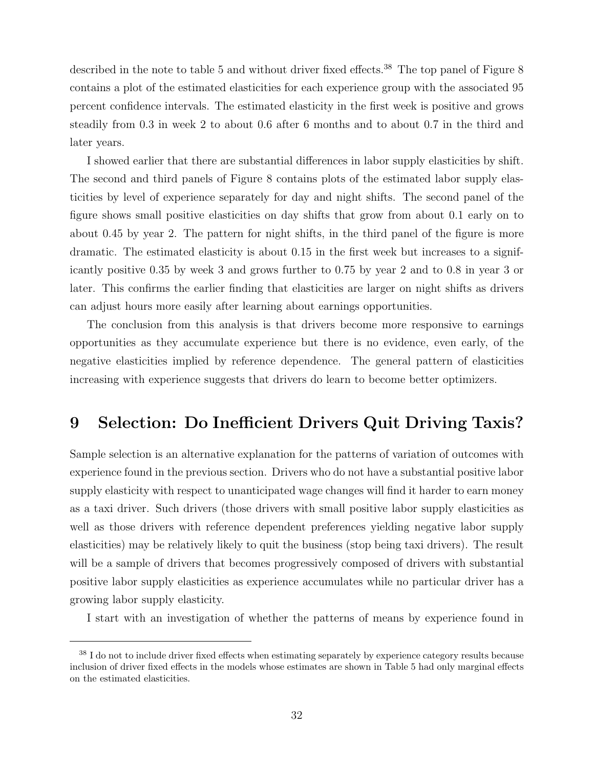described in the note to table 5 and without driver fixed effects.<sup>38</sup> The top panel of Figure 8 contains a plot of the estimated elasticities for each experience group with the associated 95 percent confidence intervals. The estimated elasticity in the first week is positive and grows steadily from 0.3 in week 2 to about 0.6 after 6 months and to about 0.7 in the third and later years.

I showed earlier that there are substantial differences in labor supply elasticities by shift. The second and third panels of Figure 8 contains plots of the estimated labor supply elasticities by level of experience separately for day and night shifts. The second panel of the figure shows small positive elasticities on day shifts that grow from about 0.1 early on to about 0.45 by year 2. The pattern for night shifts, in the third panel of the figure is more dramatic. The estimated elasticity is about 0.15 in the first week but increases to a significantly positive 0.35 by week 3 and grows further to 0.75 by year 2 and to 0.8 in year 3 or later. This confirms the earlier finding that elasticities are larger on night shifts as drivers can adjust hours more easily after learning about earnings opportunities.

The conclusion from this analysis is that drivers become more responsive to earnings opportunities as they accumulate experience but there is no evidence, even early, of the negative elasticities implied by reference dependence. The general pattern of elasticities increasing with experience suggests that drivers do learn to become better optimizers.

## 9 Selection: Do Inefficient Drivers Quit Driving Taxis?

Sample selection is an alternative explanation for the patterns of variation of outcomes with experience found in the previous section. Drivers who do not have a substantial positive labor supply elasticity with respect to unanticipated wage changes will find it harder to earn money as a taxi driver. Such drivers (those drivers with small positive labor supply elasticities as well as those drivers with reference dependent preferences yielding negative labor supply elasticities) may be relatively likely to quit the business (stop being taxi drivers). The result will be a sample of drivers that becomes progressively composed of drivers with substantial positive labor supply elasticities as experience accumulates while no particular driver has a growing labor supply elasticity.

I start with an investigation of whether the patterns of means by experience found in

<sup>&</sup>lt;sup>38</sup> I do not to include driver fixed effects when estimating separately by experience category results because inclusion of driver fixed effects in the models whose estimates are shown in Table 5 had only marginal effects on the estimated elasticities.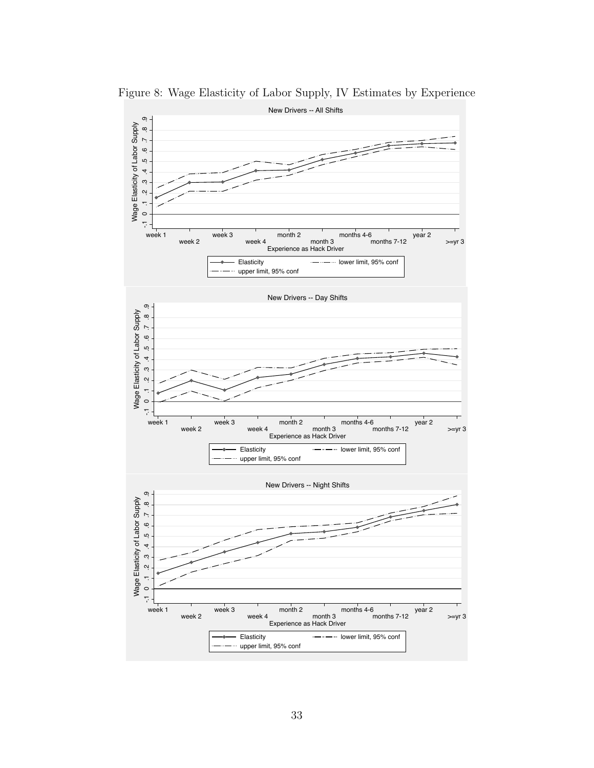

Figure 8: Wage Elasticity of Labor Supply, IV Estimates by Experience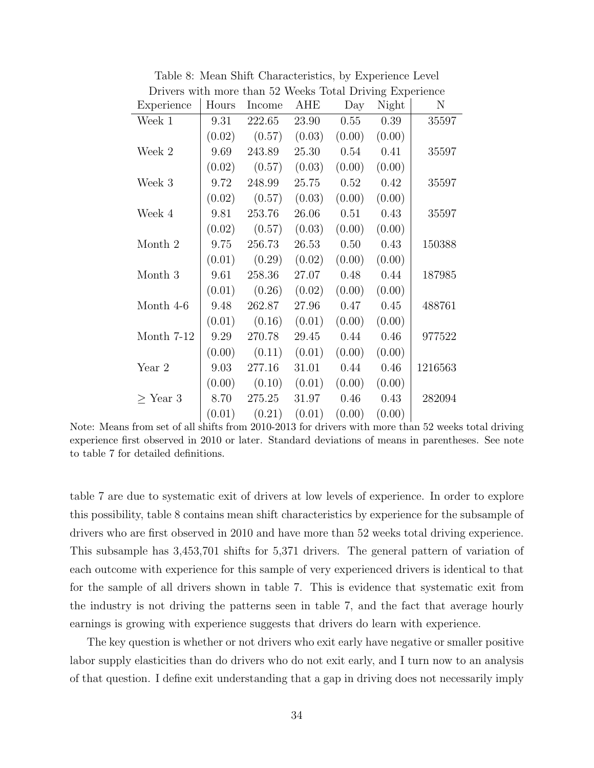| Drivers with more than 52 weeks Total Driving Experience |        |        |        |        |        |         |  |
|----------------------------------------------------------|--------|--------|--------|--------|--------|---------|--|
| Experience                                               | Hours  | Income | AHE    | Day    | Night  | N       |  |
| Week 1                                                   | 9.31   | 222.65 | 23.90  | 0.55   | 0.39   | 35597   |  |
|                                                          | (0.02) | (0.57) | (0.03) | (0.00) | (0.00) |         |  |
| Week 2                                                   | 9.69   | 243.89 | 25.30  | 0.54   | 0.41   | 35597   |  |
|                                                          | (0.02) | (0.57) | (0.03) | (0.00) | (0.00) |         |  |
| Week 3                                                   | 9.72   | 248.99 | 25.75  | 0.52   | 0.42   | 35597   |  |
|                                                          | (0.02) | (0.57) | (0.03) | (0.00) | (0.00) |         |  |
| Week 4                                                   | 9.81   | 253.76 | 26.06  | 0.51   | 0.43   | 35597   |  |
|                                                          | (0.02) | (0.57) | (0.03) | (0.00) | (0.00) |         |  |
| Month 2                                                  | 9.75   | 256.73 | 26.53  | 0.50   | 0.43   | 150388  |  |
|                                                          | (0.01) | (0.29) | (0.02) | (0.00) | (0.00) |         |  |
| Month $3\,$                                              | 9.61   | 258.36 | 27.07  | 0.48   | 0.44   | 187985  |  |
|                                                          | (0.01) | (0.26) | (0.02) | (0.00) | (0.00) |         |  |
| Month 4-6                                                | 9.48   | 262.87 | 27.96  | 0.47   | 0.45   | 488761  |  |
|                                                          | (0.01) | (0.16) | (0.01) | (0.00) | (0.00) |         |  |
| Month $7-12$                                             | 9.29   | 270.78 | 29.45  | 0.44   | 0.46   | 977522  |  |
|                                                          | (0.00) | (0.11) | (0.01) | (0.00) | (0.00) |         |  |
| Year 2                                                   | 9.03   | 277.16 | 31.01  | 0.44   | 0.46   | 1216563 |  |
|                                                          | (0.00) | (0.10) | (0.01) | (0.00) | (0.00) |         |  |
| $\geq$ Year 3                                            | 8.70   | 275.25 | 31.97  | 0.46   | 0.43   | 282094  |  |
|                                                          | (0.01) | (0.21) | (0.01) | (0.00) | (0.00) |         |  |

Table 8: Mean Shift Characteristics, by Experience Level Drivers with more than 52 Weeks Total Driving Experience

Note: Means from set of all shifts from 2010-2013 for drivers with more than 52 weeks total driving experience first observed in 2010 or later. Standard deviations of means in parentheses. See note to table 7 for detailed definitions.

table 7 are due to systematic exit of drivers at low levels of experience. In order to explore this possibility, table 8 contains mean shift characteristics by experience for the subsample of drivers who are first observed in 2010 and have more than 52 weeks total driving experience. This subsample has 3,453,701 shifts for 5,371 drivers. The general pattern of variation of each outcome with experience for this sample of very experienced drivers is identical to that for the sample of all drivers shown in table 7. This is evidence that systematic exit from the industry is not driving the patterns seen in table 7, and the fact that average hourly earnings is growing with experience suggests that drivers do learn with experience.

The key question is whether or not drivers who exit early have negative or smaller positive labor supply elasticities than do drivers who do not exit early, and I turn now to an analysis of that question. I define exit understanding that a gap in driving does not necessarily imply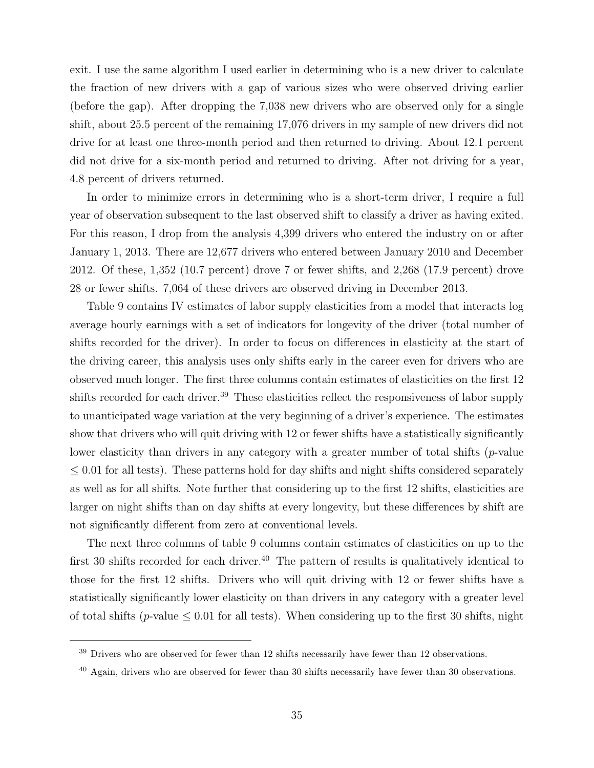exit. I use the same algorithm I used earlier in determining who is a new driver to calculate the fraction of new drivers with a gap of various sizes who were observed driving earlier (before the gap). After dropping the 7,038 new drivers who are observed only for a single shift, about 25.5 percent of the remaining 17,076 drivers in my sample of new drivers did not drive for at least one three-month period and then returned to driving. About 12.1 percent did not drive for a six-month period and returned to driving. After not driving for a year, 4.8 percent of drivers returned.

In order to minimize errors in determining who is a short-term driver, I require a full year of observation subsequent to the last observed shift to classify a driver as having exited. For this reason, I drop from the analysis 4,399 drivers who entered the industry on or after January 1, 2013. There are 12,677 drivers who entered between January 2010 and December 2012. Of these, 1,352 (10.7 percent) drove 7 or fewer shifts, and 2,268 (17.9 percent) drove 28 or fewer shifts. 7,064 of these drivers are observed driving in December 2013.

Table 9 contains IV estimates of labor supply elasticities from a model that interacts log average hourly earnings with a set of indicators for longevity of the driver (total number of shifts recorded for the driver). In order to focus on differences in elasticity at the start of the driving career, this analysis uses only shifts early in the career even for drivers who are observed much longer. The first three columns contain estimates of elasticities on the first 12 shifts recorded for each driver.<sup>39</sup> These elasticities reflect the responsiveness of labor supply to unanticipated wage variation at the very beginning of a driver's experience. The estimates show that drivers who will quit driving with 12 or fewer shifts have a statistically significantly lower elasticity than drivers in any category with a greater number of total shifts  $(p$ -value  $\leq$  0.01 for all tests). These patterns hold for day shifts and night shifts considered separately as well as for all shifts. Note further that considering up to the first 12 shifts, elasticities are larger on night shifts than on day shifts at every longevity, but these differences by shift are not significantly different from zero at conventional levels.

The next three columns of table 9 columns contain estimates of elasticities on up to the first 30 shifts recorded for each driver.<sup>40</sup> The pattern of results is qualitatively identical to those for the first 12 shifts. Drivers who will quit driving with 12 or fewer shifts have a statistically significantly lower elasticity on than drivers in any category with a greater level of total shifts (*p*-value  $\leq 0.01$  for all tests). When considering up to the first 30 shifts, night

<sup>&</sup>lt;sup>39</sup> Drivers who are observed for fewer than 12 shifts necessarily have fewer than 12 observations.

 $^{40}$  Again, drivers who are observed for fewer than 30 shifts necessarily have fewer than 30 observations.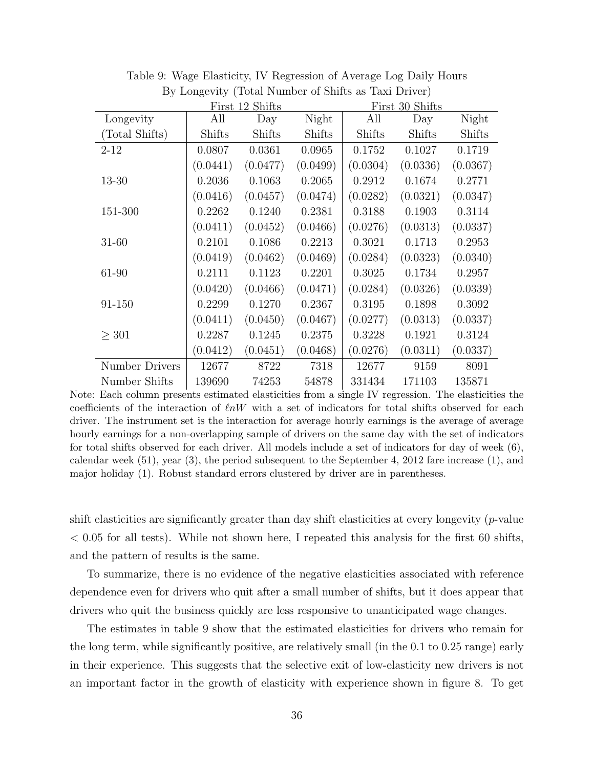|                |          | First 12 Shifts |          | First 30 Shifts |               |          |  |
|----------------|----------|-----------------|----------|-----------------|---------------|----------|--|
| Longevity      | All      | Day             | Night    | All             | Day           | Night    |  |
| (Total Shifts) | Shifts   | Shifts          | Shifts   | <b>Shifts</b>   | <b>Shifts</b> | Shifts   |  |
| $2 - 12$       | 0.0807   | 0.0361          | 0.0965   | 0.1752          | 0.1027        | 0.1719   |  |
|                | (0.0441) | (0.0477)        | (0.0499) | (0.0304)        | (0.0336)      | (0.0367) |  |
| 13-30          | 0.2036   | 0.1063          | 0.2065   | 0.2912          | 0.1674        | 0.2771   |  |
|                | (0.0416) | (0.0457)        | (0.0474) | (0.0282)        | (0.0321)      | (0.0347) |  |
| 151-300        | 0.2262   | 0.1240          | 0.2381   | 0.3188          | 0.1903        | 0.3114   |  |
|                | (0.0411) | (0.0452)        | (0.0466) | (0.0276)        | (0.0313)      | (0.0337) |  |
| 31-60          | 0.2101   | 0.1086          | 0.2213   | 0.3021          | 0.1713        | 0.2953   |  |
|                | (0.0419) | (0.0462)        | (0.0469) | (0.0284)        | (0.0323)      | (0.0340) |  |
| 61-90          | 0.2111   | 0.1123          | 0.2201   | 0.3025          | 0.1734        | 0.2957   |  |
|                | (0.0420) | (0.0466)        | (0.0471) | (0.0284)        | (0.0326)      | (0.0339) |  |
| 91-150         | 0.2299   | 0.1270          | 0.2367   | 0.3195          | 0.1898        | 0.3092   |  |
|                | (0.0411) | (0.0450)        | (0.0467) | (0.0277)        | (0.0313)      | (0.0337) |  |
| > 301          | 0.2287   | 0.1245          | 0.2375   | 0.3228          | 0.1921        | 0.3124   |  |
|                | (0.0412) | (0.0451)        | (0.0468) | (0.0276)        | (0.0311)      | (0.0337) |  |
| Number Drivers | 12677    | 8722            | 7318     | 12677           | 9159          | 8091     |  |
| Number Shifts  | 139690   | 74253           | 54878    | 331434          | 171103        | 135871   |  |

Table 9: Wage Elasticity, IV Regression of Average Log Daily Hours By Longevity (Total Number of Shifts as Taxi Driver)

Note: Each column presents estimated elasticities from a single IV regression. The elasticities the coefficients of the interaction of  $\ell nW$  with a set of indicators for total shifts observed for each driver. The instrument set is the interaction for average hourly earnings is the average of average hourly earnings for a non-overlapping sample of drivers on the same day with the set of indicators for total shifts observed for each driver. All models include a set of indicators for day of week (6), calendar week  $(51)$ , year  $(3)$ , the period subsequent to the September 4, 2012 fare increase  $(1)$ , and major holiday (1). Robust standard errors clustered by driver are in parentheses.

shift elasticities are significantly greater than day shift elasticities at every longevity  $(p$ -value  $< 0.05$  for all tests). While not shown here, I repeated this analysis for the first 60 shifts, and the pattern of results is the same.

To summarize, there is no evidence of the negative elasticities associated with reference dependence even for drivers who quit after a small number of shifts, but it does appear that drivers who quit the business quickly are less responsive to unanticipated wage changes.

The estimates in table 9 show that the estimated elasticities for drivers who remain for the long term, while significantly positive, are relatively small (in the 0.1 to 0.25 range) early in their experience. This suggests that the selective exit of low-elasticity new drivers is not an important factor in the growth of elasticity with experience shown in figure 8. To get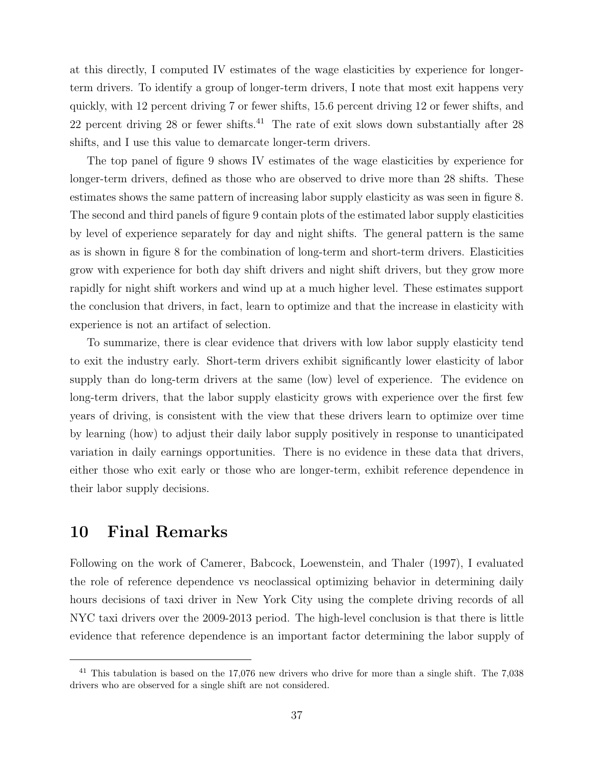at this directly, I computed IV estimates of the wage elasticities by experience for longerterm drivers. To identify a group of longer-term drivers, I note that most exit happens very quickly, with 12 percent driving 7 or fewer shifts, 15.6 percent driving 12 or fewer shifts, and 22 percent driving 28 or fewer shifts.<sup>41</sup> The rate of exit slows down substantially after 28 shifts, and I use this value to demarcate longer-term drivers.

The top panel of figure 9 shows IV estimates of the wage elasticities by experience for longer-term drivers, defined as those who are observed to drive more than 28 shifts. These estimates shows the same pattern of increasing labor supply elasticity as was seen in figure 8. The second and third panels of figure 9 contain plots of the estimated labor supply elasticities by level of experience separately for day and night shifts. The general pattern is the same as is shown in figure 8 for the combination of long-term and short-term drivers. Elasticities grow with experience for both day shift drivers and night shift drivers, but they grow more rapidly for night shift workers and wind up at a much higher level. These estimates support the conclusion that drivers, in fact, learn to optimize and that the increase in elasticity with experience is not an artifact of selection.

To summarize, there is clear evidence that drivers with low labor supply elasticity tend to exit the industry early. Short-term drivers exhibit significantly lower elasticity of labor supply than do long-term drivers at the same (low) level of experience. The evidence on long-term drivers, that the labor supply elasticity grows with experience over the first few years of driving, is consistent with the view that these drivers learn to optimize over time by learning (how) to adjust their daily labor supply positively in response to unanticipated variation in daily earnings opportunities. There is no evidence in these data that drivers, either those who exit early or those who are longer-term, exhibit reference dependence in their labor supply decisions.

## 10 Final Remarks

Following on the work of Camerer, Babcock, Loewenstein, and Thaler (1997), I evaluated the role of reference dependence vs neoclassical optimizing behavior in determining daily hours decisions of taxi driver in New York City using the complete driving records of all NYC taxi drivers over the 2009-2013 period. The high-level conclusion is that there is little evidence that reference dependence is an important factor determining the labor supply of

<sup>&</sup>lt;sup>41</sup> This tabulation is based on the 17,076 new drivers who drive for more than a single shift. The 7,038 drivers who are observed for a single shift are not considered.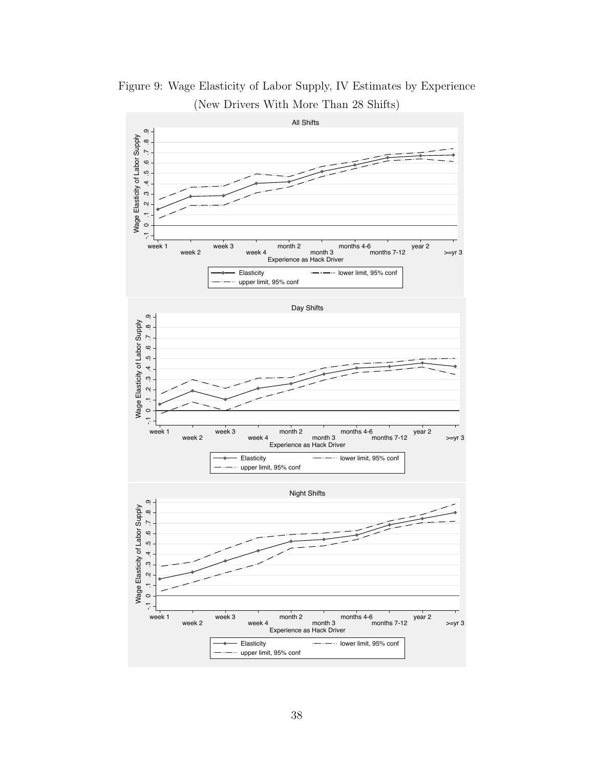

Figure 9: Wage Elasticity of Labor Supply, IV Estimates by Experience (New Drivers With More Than 28 Shifts)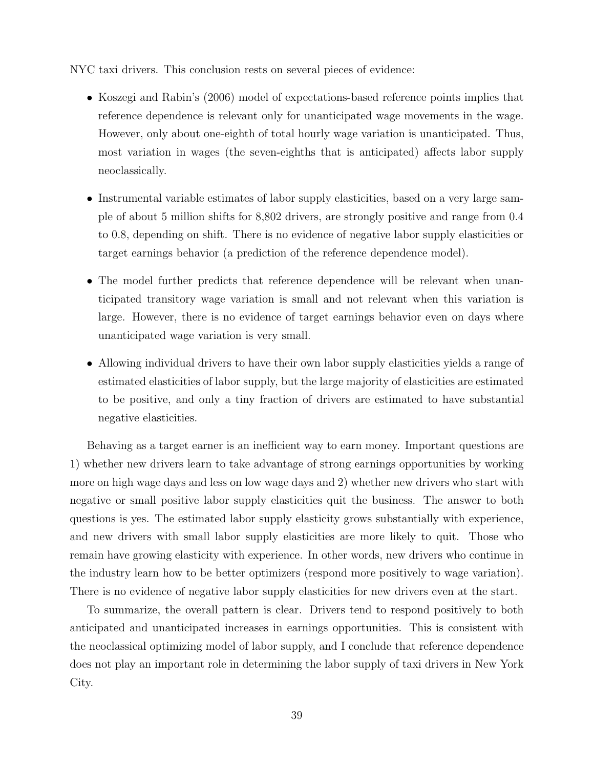NYC taxi drivers. This conclusion rests on several pieces of evidence:

- Koszegi and Rabin's (2006) model of expectations-based reference points implies that reference dependence is relevant only for unanticipated wage movements in the wage. However, only about one-eighth of total hourly wage variation is unanticipated. Thus, most variation in wages (the seven-eighths that is anticipated) affects labor supply neoclassically.
- Instrumental variable estimates of labor supply elasticities, based on a very large sample of about 5 million shifts for 8,802 drivers, are strongly positive and range from 0.4 to 0.8, depending on shift. There is no evidence of negative labor supply elasticities or target earnings behavior (a prediction of the reference dependence model).
- The model further predicts that reference dependence will be relevant when unanticipated transitory wage variation is small and not relevant when this variation is large. However, there is no evidence of target earnings behavior even on days where unanticipated wage variation is very small.
- Allowing individual drivers to have their own labor supply elasticities yields a range of estimated elasticities of labor supply, but the large majority of elasticities are estimated to be positive, and only a tiny fraction of drivers are estimated to have substantial negative elasticities.

Behaving as a target earner is an inefficient way to earn money. Important questions are 1) whether new drivers learn to take advantage of strong earnings opportunities by working more on high wage days and less on low wage days and 2) whether new drivers who start with negative or small positive labor supply elasticities quit the business. The answer to both questions is yes. The estimated labor supply elasticity grows substantially with experience, and new drivers with small labor supply elasticities are more likely to quit. Those who remain have growing elasticity with experience. In other words, new drivers who continue in the industry learn how to be better optimizers (respond more positively to wage variation). There is no evidence of negative labor supply elasticities for new drivers even at the start.

To summarize, the overall pattern is clear. Drivers tend to respond positively to both anticipated and unanticipated increases in earnings opportunities. This is consistent with the neoclassical optimizing model of labor supply, and I conclude that reference dependence does not play an important role in determining the labor supply of taxi drivers in New York City.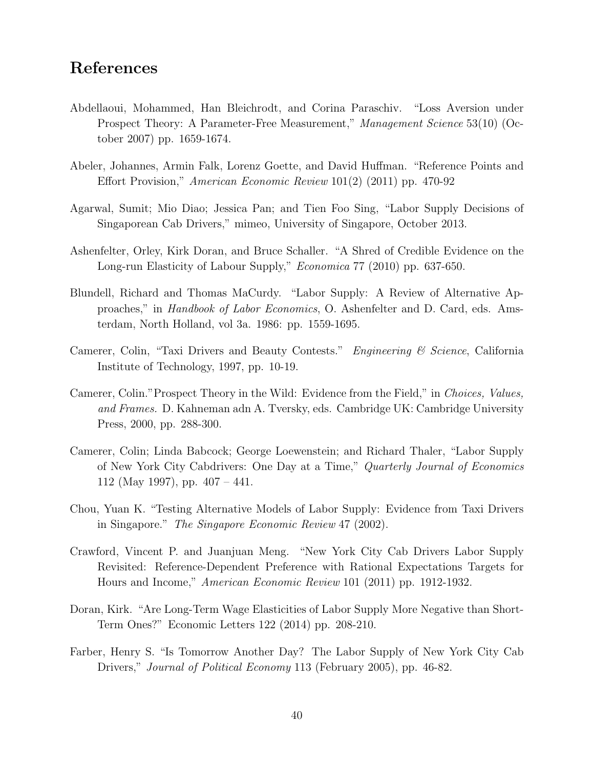## References

- Abdellaoui, Mohammed, Han Bleichrodt, and Corina Paraschiv. "Loss Aversion under Prospect Theory: A Parameter-Free Measurement," Management Science 53(10) (October 2007) pp. 1659-1674.
- Abeler, Johannes, Armin Falk, Lorenz Goette, and David Huffman. "Reference Points and Effort Provision," American Economic Review 101(2) (2011) pp. 470-92
- Agarwal, Sumit; Mio Diao; Jessica Pan; and Tien Foo Sing, "Labor Supply Decisions of Singaporean Cab Drivers," mimeo, University of Singapore, October 2013.
- Ashenfelter, Orley, Kirk Doran, and Bruce Schaller. "A Shred of Credible Evidence on the Long-run Elasticity of Labour Supply," Economica 77 (2010) pp. 637-650.
- Blundell, Richard and Thomas MaCurdy. "Labor Supply: A Review of Alternative Approaches," in Handbook of Labor Economics, O. Ashenfelter and D. Card, eds. Amsterdam, North Holland, vol 3a. 1986: pp. 1559-1695.
- Camerer, Colin, "Taxi Drivers and Beauty Contests." Engineering & Science, California Institute of Technology, 1997, pp. 10-19.
- Camerer, Colin."Prospect Theory in the Wild: Evidence from the Field," in Choices, Values, and Frames. D. Kahneman adn A. Tversky, eds. Cambridge UK: Cambridge University Press, 2000, pp. 288-300.
- Camerer, Colin; Linda Babcock; George Loewenstein; and Richard Thaler, "Labor Supply of New York City Cabdrivers: One Day at a Time," Quarterly Journal of Economics 112 (May 1997), pp. 407 – 441.
- Chou, Yuan K. "Testing Alternative Models of Labor Supply: Evidence from Taxi Drivers in Singapore." The Singapore Economic Review 47 (2002).
- Crawford, Vincent P. and Juanjuan Meng. "New York City Cab Drivers Labor Supply Revisited: Reference-Dependent Preference with Rational Expectations Targets for Hours and Income," American Economic Review 101 (2011) pp. 1912-1932.
- Doran, Kirk. "Are Long-Term Wage Elasticities of Labor Supply More Negative than Short-Term Ones?" Economic Letters 122 (2014) pp. 208-210.
- Farber, Henry S. "Is Tomorrow Another Day? The Labor Supply of New York City Cab Drivers," Journal of Political Economy 113 (February 2005), pp. 46-82.